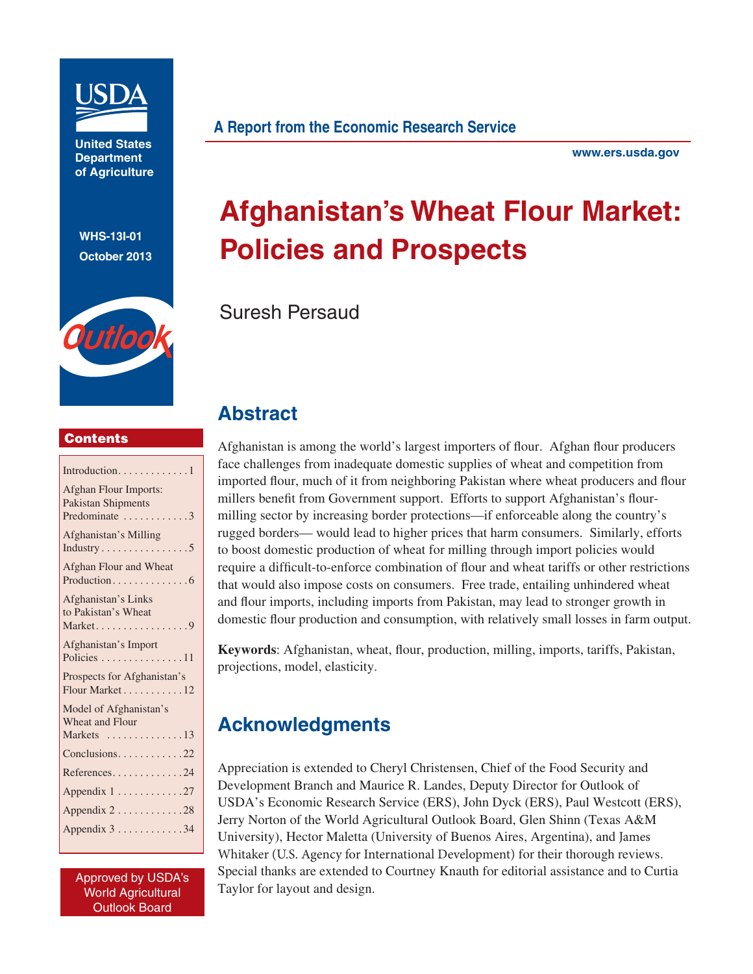

**United States Department of Agriculture**

**WHS-13I-01 October 2013**

Outloo



**www.ers.usda.gov**

# **Afghanistan's Wheat Flour Market: Policies and Prospects**

Suresh Persaud

## **Contents**

| Introduction1                         |
|---------------------------------------|
| <b>Afghan Flour Imports:</b>          |
| <b>Pakistan Shipments</b>             |
| Predominate 3                         |
| Afghanistan's Milling                 |
| Industry5                             |
| Afghan Flour and Wheat                |
| Production6                           |
| Afghanistan's Links                   |
| to Pakistan's Wheat                   |
| Market9                               |
| Afghanistan's Import                  |
| Policies 11                           |
| Prospects for Afghanistan's           |
| Flour Market 12                       |
| Model of Afghanistan's                |
| <b>Wheat and Flour</b>                |
| Markets $\dots\dots\dots\dots\dots13$ |
| Conclusions22                         |
| References24                          |
|                                       |
| Appendix 1 27                         |
| Appendix 228                          |
| Appendix 3 34                         |
|                                       |

Approved by USDA's World Agricultural Outlook Board

# **Abstract**

Afghanistan is among the world's largest importers of flour. Afghan flour producers face challenges from inadequate domestic supplies of wheat and competition from imported flour, much of it from neighboring Pakistan where wheat producers and flour millers benefit from Government support. Efforts to support Afghanistan's flourmilling sector by increasing border protections—if enforceable along the country's rugged borders— would lead to higher prices that harm consumers. Similarly, efforts to boost domestic production of wheat for milling through import policies would require a difficult-to-enforce combination of flour and wheat tariffs or other restrictions that would also impose costs on consumers. Free trade, entailing unhindered wheat and flour imports, including imports from Pakistan, may lead to stronger growth in domestic flour production and consumption, with relatively small losses in farm output.

Keywords: Afghanistan, wheat, flour, production, milling, imports, tariffs, Pakistan, projections, model, elasticity.

# **Acknowledgments**

Appreciation is extended to Cheryl Christensen, Chief of the Food Security and Development Branch and Maurice R. Landes, Deputy Director for Outlook of USDA's Economic Research Service (ERS), John Dyck (ERS), Paul Westcott (ERS), Jerry Norton of the World Agricultural Outlook Board, Glen Shinn (Texas A&M University), Hector Maletta (University of Buenos Aires, Argentina), and James Whitaker (U.S. Agency for International Development) for their thorough reviews. Special thanks are extended to Courtney Knauth for editorial assistance and to Curtia Taylor for layout and design.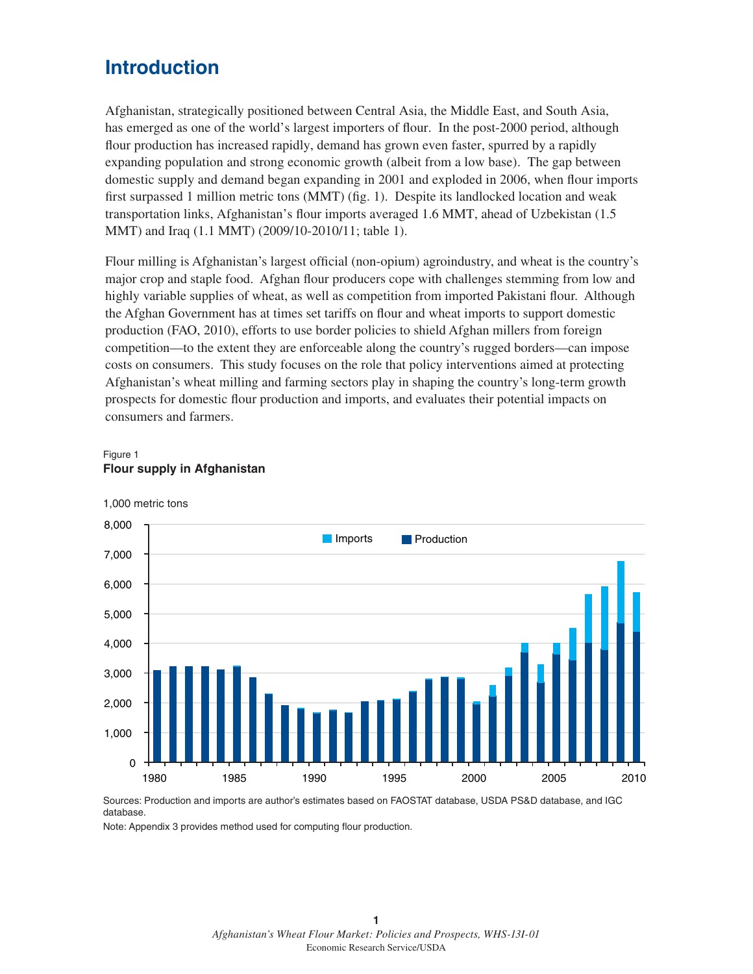# **Introduction**

Afghanistan, strategically positioned between Central Asia, the Middle East, and South Asia, has emerged as one of the world's largest importers of flour. In the post-2000 period, although flour production has increased rapidly, demand has grown even faster, spurred by a rapidly expanding population and strong economic growth (albeit from a low base). The gap between domestic supply and demand began expanding in 2001 and exploded in 2006, when flour imports first surpassed 1 million metric tons (MMT) (fig. 1). Despite its landlocked location and weak transportation links, Afghanistan's flour imports averaged 1.6 MMT, ahead of Uzbekistan  $(1.5$ MMT) and Iraq (1.1 MMT) (2009/10-2010/11; table 1).

Flour milling is Afghanistan's largest official (non-opium) agroindustry, and wheat is the country's major crop and staple food. Afghan flour producers cope with challenges stemming from low and highly variable supplies of wheat, as well as competition from imported Pakistani flour. Although the Afghan Government has at times set tariffs on flour and wheat imports to support domestic production (FAO, 2010), efforts to use border policies to shield Afghan millers from foreign competition—to the extent they are enforceable along the country's rugged borders—can impose costs on consumers. This study focuses on the role that policy interventions aimed at protecting Afghanistan's wheat milling and farming sectors play in shaping the country's long-term growth prospects for domestic flour production and imports, and evaluates their potential impacts on consumers and farmers.





#### 1,000 metric tons

Sources: Production and imports are author's estimates based on FAOSTAT database, USDA PS&D database, and IGC database.

Note: Appendix 3 provides method used for computing flour production.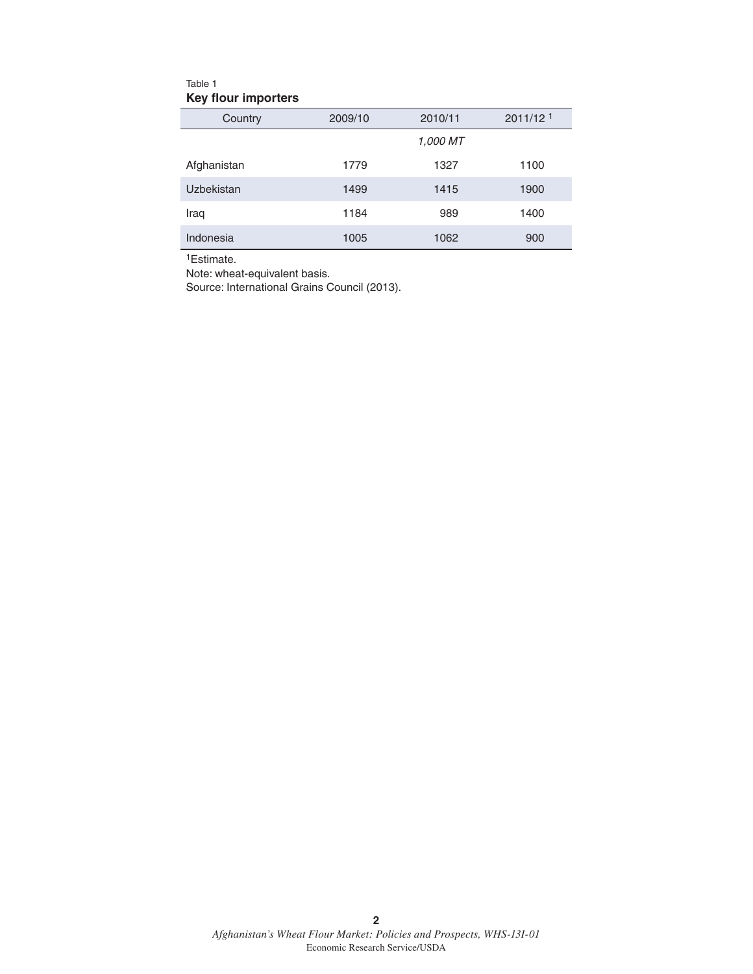## Table 1 **Key flour importers**

| Country     | 2009/10 | 2010/11  | 2011/12 <sup>1</sup> |
|-------------|---------|----------|----------------------|
|             |         | 1.000 MT |                      |
| Afghanistan | 1779    | 1327     | 1100                 |
| Uzbekistan  | 1499    | 1415     | 1900                 |
| Iraq        | 1184    | 989      | 1400                 |
| Indonesia   | 1005    | 1062     | 900                  |

1Estimate.

Note: wheat-equivalent basis.

Source: International Grains Council (2013).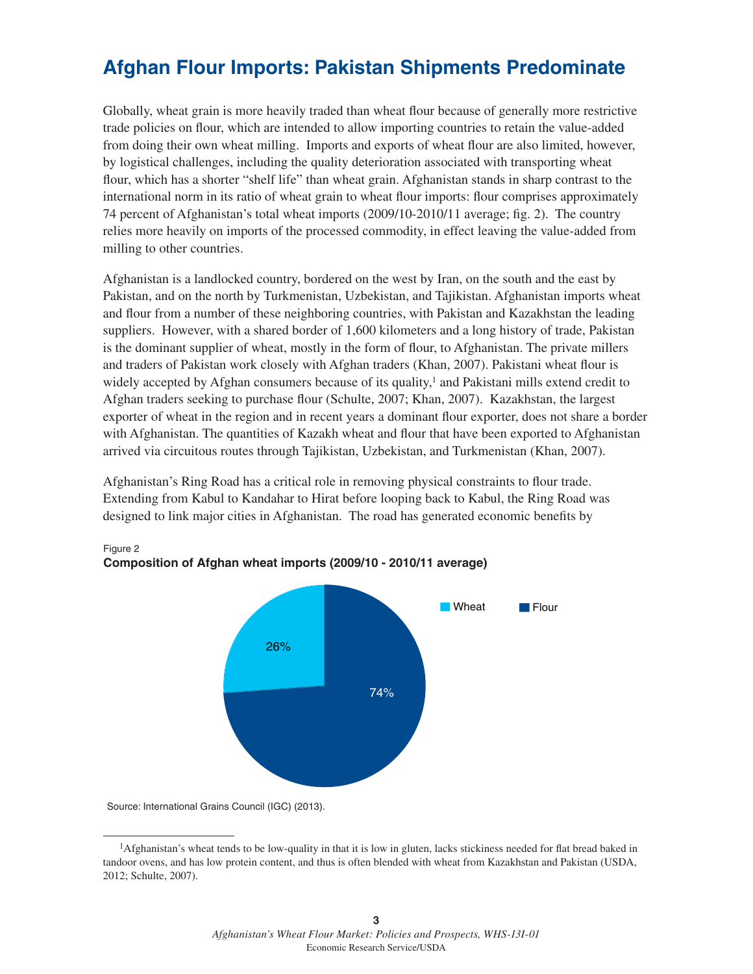# **Afghan Flour Imports: Pakistan Shipments Predominate**

Globally, wheat grain is more heavily traded than wheat flour because of generally more restrictive trade policies on flour, which are intended to allow importing countries to retain the value-added from doing their own wheat milling. Imports and exports of wheat flour are also limited, however, by logistical challenges, including the quality deterioration associated with transporting wheat flour, which has a shorter "shelf life" than wheat grain. Afghanistan stands in sharp contrast to the international norm in its ratio of wheat grain to wheat flour imports: flour comprises approximately 74 percent of Afghanistan's total wheat imports  $(2009/10-2010/11$  average; fig. 2). The country relies more heavily on imports of the processed commodity, in effect leaving the value-added from milling to other countries.

Afghanistan is a landlocked country, bordered on the west by Iran, on the south and the east by Pakistan, and on the north by Turkmenistan, Uzbekistan, and Tajikistan. Afghanistan imports wheat and flour from a number of these neighboring countries, with Pakistan and Kazakhstan the leading suppliers. However, with a shared border of 1,600 kilometers and a long history of trade, Pakistan is the dominant supplier of wheat, mostly in the form of flour, to Afghanistan. The private millers and traders of Pakistan work closely with Afghan traders (Khan, 2007). Pakistani wheat flour is widely accepted by Afghan consumers because of its quality, $\frac{1}{1}$  and Pakistani mills extend credit to Afghan traders seeking to purchase flour (Schulte, 2007; Khan, 2007). Kazakhstan, the largest exporter of wheat in the region and in recent years a dominant flour exporter, does not share a border with Afghanistan. The quantities of Kazakh wheat and flour that have been exported to Afghanistan arrived via circuitous routes through Tajikistan, Uzbekistan, and Turkmenistan (Khan, 2007).

Afghanistan's Ring Road has a critical role in removing physical constraints to flour trade. Extending from Kabul to Kandahar to Hirat before looping back to Kabul, the Ring Road was designed to link major cities in Afghanistan. The road has generated economic benefits by



## Figure 2 **Composition of Afghan wheat imports (2009/10 - 2010/11 average)**

Source: International Grains Council (IGC) (2013).

<sup>&</sup>lt;sup>1</sup>Afghanistan's wheat tends to be low-quality in that it is low in gluten, lacks stickiness needed for flat bread baked in tandoor ovens, and has low protein content, and thus is often blended with wheat from Kazakhstan and Pakistan (USDA, 2012; Schulte, 2007).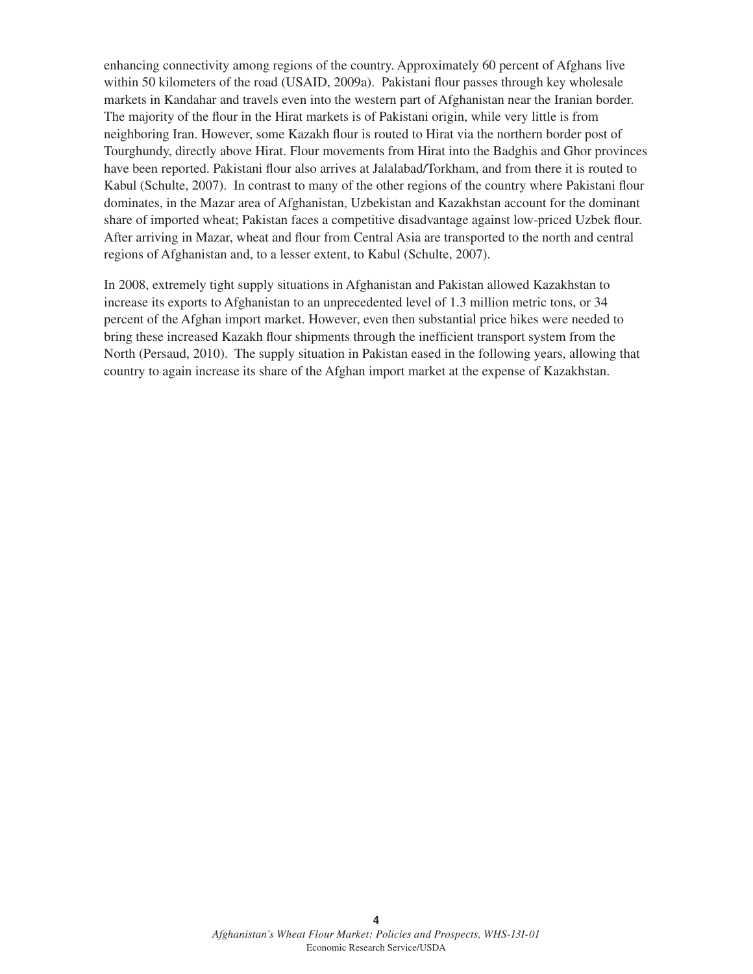enhancing connectivity among regions of the country. Approximately 60 percent of Afghans live within 50 kilometers of the road (USAID, 2009a). Pakistani flour passes through key wholesale markets in Kandahar and travels even into the western part of Afghanistan near the Iranian border. The majority of the flour in the Hirat markets is of Pakistani origin, while very little is from neighboring Iran. However, some Kazakh flour is routed to Hirat via the northern border post of Tourghundy, directly above Hirat. Flour movements from Hirat into the Badghis and Ghor provinces have been reported. Pakistani flour also arrives at Jalalabad/Torkham, and from there it is routed to Kabul (Schulte, 2007). In contrast to many of the other regions of the country where Pakistani flour dominates, in the Mazar area of Afghanistan, Uzbekistan and Kazakhstan account for the dominant share of imported wheat; Pakistan faces a competitive disadvantage against low-priced Uzbek flour. After arriving in Mazar, wheat and flour from Central Asia are transported to the north and central regions of Afghanistan and, to a lesser extent, to Kabul (Schulte, 2007).

In 2008, extremely tight supply situations in Afghanistan and Pakistan allowed Kazakhstan to increase its exports to Afghanistan to an unprecedented level of 1.3 million metric tons, or 34 percent of the Afghan import market. However, even then substantial price hikes were needed to bring these increased Kazakh flour shipments through the inefficient transport system from the North (Persaud, 2010). The supply situation in Pakistan eased in the following years, allowing that country to again increase its share of the Afghan import market at the expense of Kazakhstan.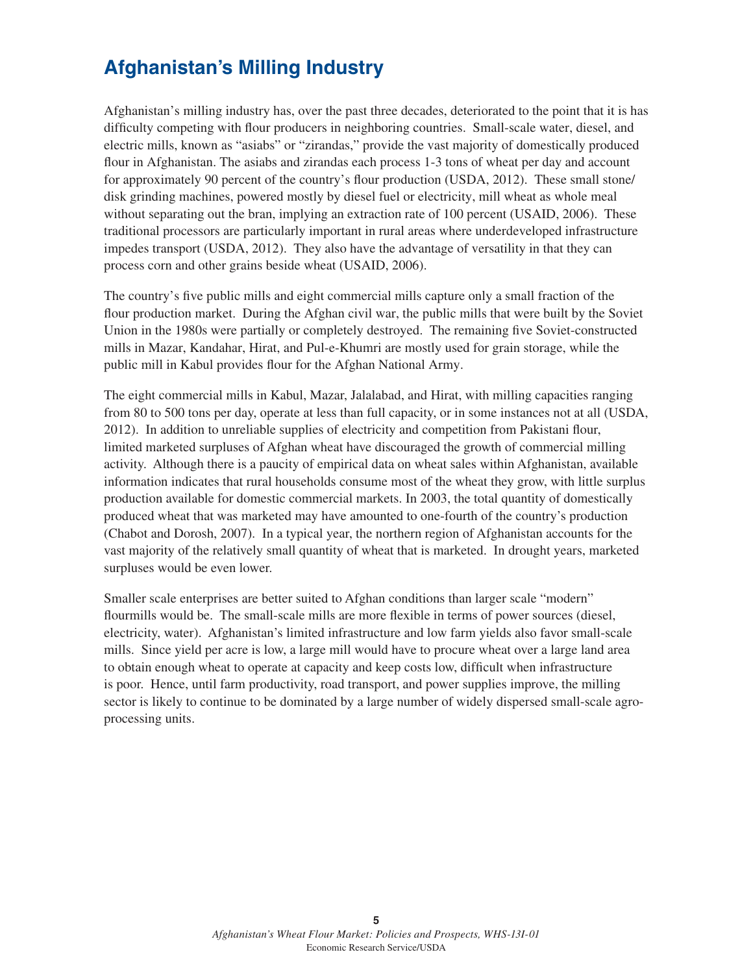# **Afghanistan's Milling Industry**

Afghanistan's milling industry has, over the past three decades, deteriorated to the point that it is has difficulty competing with flour producers in neighboring countries. Small-scale water, diesel, and electric mills, known as "asiabs" or "zirandas," provide the vast majority of domestically produced flour in Afghanistan. The asiabs and zirandas each process 1-3 tons of wheat per day and account for approximately 90 percent of the country's flour production (USDA, 2012). These small stone/ disk grinding machines, powered mostly by diesel fuel or electricity, mill wheat as whole meal without separating out the bran, implying an extraction rate of 100 percent (USAID, 2006). These traditional processors are particularly important in rural areas where underdeveloped infrastructure impedes transport (USDA, 2012). They also have the advantage of versatility in that they can process corn and other grains beside wheat (USAID, 2006).

The country's five public mills and eight commercial mills capture only a small fraction of the flour production market. During the Afghan civil war, the public mills that were built by the Soviet Union in the 1980s were partially or completely destroyed. The remaining five Soviet-constructed mills in Mazar, Kandahar, Hirat, and Pul-e-Khumri are mostly used for grain storage, while the public mill in Kabul provides flour for the Afghan National Army.

The eight commercial mills in Kabul, Mazar, Jalalabad, and Hirat, with milling capacities ranging from 80 to 500 tons per day, operate at less than full capacity, or in some instances not at all (USDA, 2012). In addition to unreliable supplies of electricity and competition from Pakistani flour, limited marketed surpluses of Afghan wheat have discouraged the growth of commercial milling activity. Although there is a paucity of empirical data on wheat sales within Afghanistan, available information indicates that rural households consume most of the wheat they grow, with little surplus production available for domestic commercial markets. In 2003, the total quantity of domestically produced wheat that was marketed may have amounted to one-fourth of the country's production (Chabot and Dorosh, 2007). In a typical year, the northern region of Afghanistan accounts for the vast majority of the relatively small quantity of wheat that is marketed. In drought years, marketed surpluses would be even lower.

Smaller scale enterprises are better suited to Afghan conditions than larger scale "modern" flourmills would be. The small-scale mills are more flexible in terms of power sources (diesel, electricity, water). Afghanistan's limited infrastructure and low farm yields also favor small-scale mills. Since yield per acre is low, a large mill would have to procure wheat over a large land area to obtain enough wheat to operate at capacity and keep costs low, difficult when infrastructure is poor. Hence, until farm productivity, road transport, and power supplies improve, the milling sector is likely to continue to be dominated by a large number of widely dispersed small-scale agroprocessing units.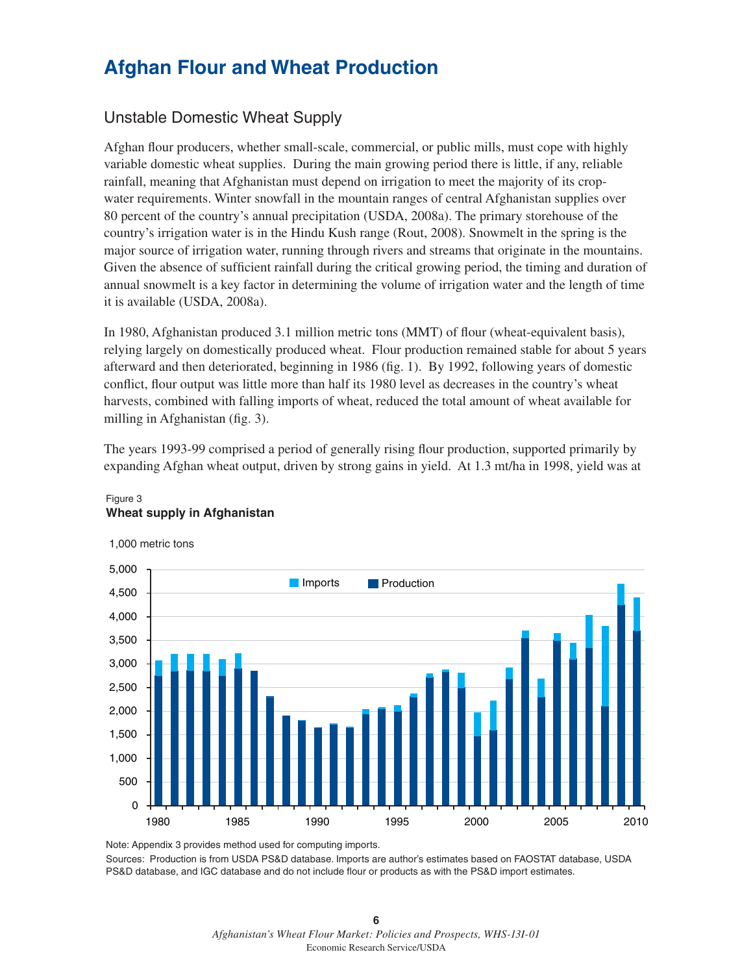# **Afghan Flour and Wheat Production**

## Unstable Domestic Wheat Supply

Afghan flour producers, whether small-scale, commercial, or public mills, must cope with highly variable domestic wheat supplies. During the main growing period there is little, if any, reliable rainfall, meaning that Afghanistan must depend on irrigation to meet the majority of its cropwater requirements. Winter snowfall in the mountain ranges of central Afghanistan supplies over 80 percent of the country's annual precipitation (USDA, 2008a). The primary storehouse of the country's irrigation water is in the Hindu Kush range (Rout, 2008). Snowmelt in the spring is the major source of irrigation water, running through rivers and streams that originate in the mountains. Given the absence of sufficient rainfall during the critical growing period, the timing and duration of annual snowmelt is a key factor in determining the volume of irrigation water and the length of time it is available (USDA, 2008a).

In 1980, Afghanistan produced 3.1 million metric tons (MMT) of flour (wheat-equivalent basis), relying largely on domestically produced wheat. Flour production remained stable for about 5 years afterward and then deteriorated, beginning in 1986 (fig. 1). By 1992, following years of domestic conflict, flour output was little more than half its 1980 level as decreases in the country's wheat harvests, combined with falling imports of wheat, reduced the total amount of wheat available for milling in Afghanistan (fig. 3).

The years 1993-99 comprised a period of generally rising flour production, supported primarily by expanding Afghan wheat output, driven by strong gains in yield. At 1.3 mt/ha in 1998, yield was at



### Figure 3 **Wheat supply in Afghanistan**

1,000 metric tons

Note: Appendix 3 provides method used for computing imports.

Sources: Production is from USDA PS&D database. Imports are author's estimates based on FAOSTAT database, USDA PS&D database, and IGC database and do not include flour or products as with the PS&D import estimates.

> **6** *Afghanistan's Wheat Flour Market: Policies and Prospects, WHS-13I-01* Economic Research Service/USDA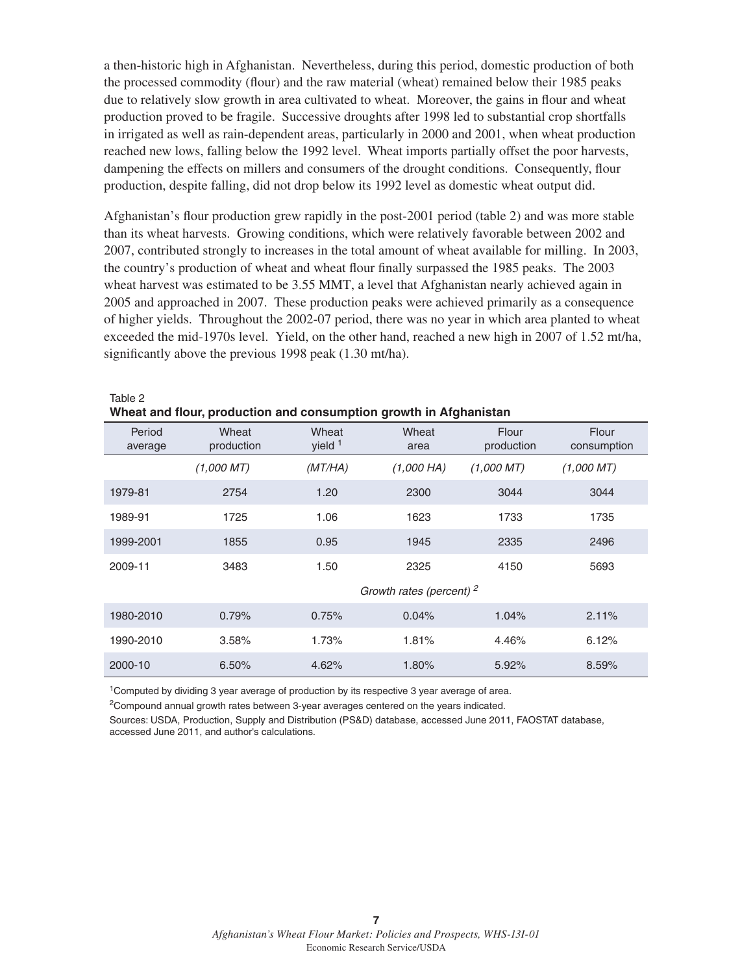a then-historic high in Afghanistan. Nevertheless, during this period, domestic production of both the processed commodity (flour) and the raw material (wheat) remained below their 1985 peaks due to relatively slow growth in area cultivated to wheat. Moreover, the gains in flour and wheat production proved to be fragile. Successive droughts after 1998 led to substantial crop shortfalls in irrigated as well as rain-dependent areas, particularly in 2000 and 2001, when wheat production reached new lows, falling below the 1992 level. Wheat imports partially offset the poor harvests, dampening the effects on millers and consumers of the drought conditions. Consequently, flour production, despite falling, did not drop below its 1992 level as domestic wheat output did.

Afghanistan's flour production grew rapidly in the post-2001 period (table 2) and was more stable than its wheat harvests. Growing conditions, which were relatively favorable between 2002 and 2007, contributed strongly to increases in the total amount of wheat available for milling. In 2003, the country's production of wheat and wheat flour finally surpassed the 1985 peaks. The 2003 wheat harvest was estimated to be 3.55 MMT, a level that Afghanistan nearly achieved again in 2005 and approached in 2007. These production peaks were achieved primarily as a consequence of higher yields. Throughout the 2002-07 period, there was no year in which area planted to wheat exceeded the mid-1970s level. Yield, on the other hand, reached a new high in 2007 of 1.52 mt/ha, significantly above the previous 1998 peak (1.30 mt/ha).

| Wheat and flour, production and consumption growth in Afghanistan |                     |                    |                                     |                     |                      |  |
|-------------------------------------------------------------------|---------------------|--------------------|-------------------------------------|---------------------|----------------------|--|
| Period<br>average                                                 | Wheat<br>production | Wheat<br>yield $1$ | Wheat<br>area                       | Flour<br>production | Flour<br>consumption |  |
|                                                                   | (1,000~MT)          | (MT/HA)            | $(1,000$ HA)                        | (1,000~MT)          | (1,000~MT)           |  |
| 1979-81                                                           | 2754                | 1.20               | 2300                                | 3044                | 3044                 |  |
| 1989-91                                                           | 1725                | 1.06               | 1623                                | 1733                | 1735                 |  |
| 1999-2001                                                         | 1855                | 0.95               | 1945                                | 2335                | 2496                 |  |
| 2009-11                                                           | 3483                | 1.50               | 2325                                | 4150                | 5693                 |  |
|                                                                   |                     |                    | Growth rates (percent) <sup>2</sup> |                     |                      |  |
| 1980-2010                                                         | 0.79%               | 0.75%              | 0.04%                               | 1.04%               | 2.11%                |  |
| 1990-2010                                                         | 3.58%               | 1.73%              | 1.81%                               | 4.46%               | 6.12%                |  |
| 2000-10                                                           | 6.50%               | 4.62%              | 1.80%                               | 5.92%               | 8.59%                |  |

<sup>1</sup>Computed by dividing 3 year average of production by its respective 3 year average of area.

Table 2

2Compound annual growth rates between 3-year averages centered on the years indicated.

Sources: USDA, Production, Supply and Distribution (PS&D) database, accessed June 2011, FAOSTAT database, accessed June 2011, and author's calculations.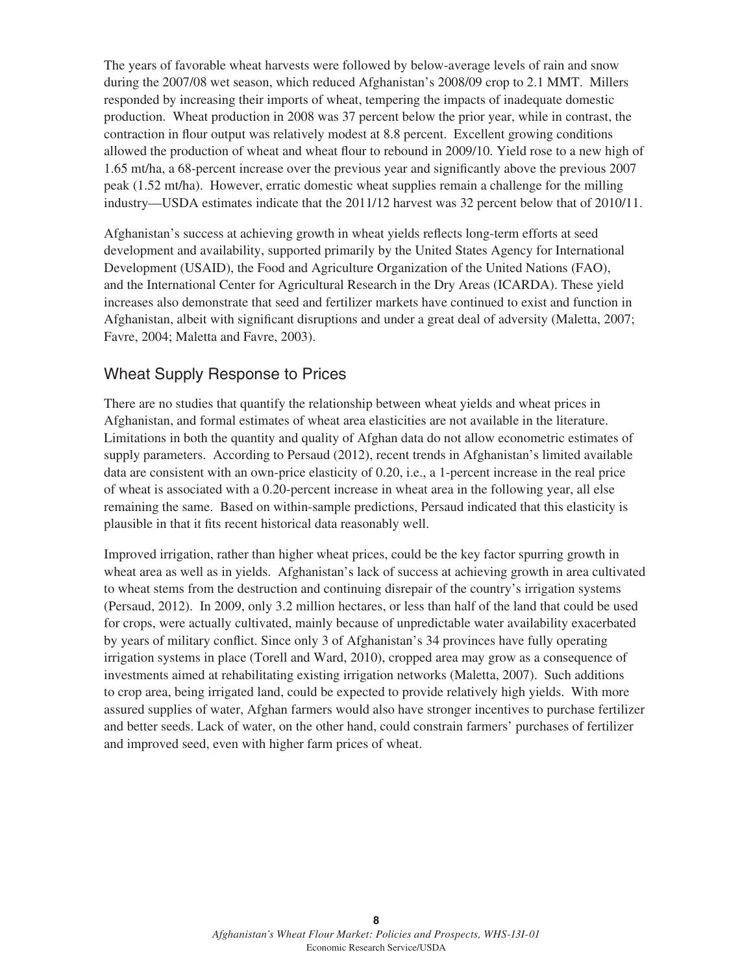The years of favorable wheat harvests were followed by below-average levels of rain and snow during the 2007/08 wet season, which reduced Afghanistan's 2008/09 crop to 2.1 MMT. Millers responded by increasing their imports of wheat, tempering the impacts of inadequate domestic production. Wheat production in 2008 was 37 percent below the prior year, while in contrast, the contraction in flour output was relatively modest at 8.8 percent. Excellent growing conditions allowed the production of wheat and wheat flour to rebound in 2009/10. Yield rose to a new high of 1.65 mt/ha, a 68-percent increase over the previous year and significantly above the previous 2007 peak (1.52 mt/ha). However, erratic domestic wheat supplies remain a challenge for the milling industry—USDA estimates indicate that the 2011/12 harvest was 32 percent below that of 2010/11.

Afghanistan's success at achieving growth in wheat yields reflects long-term efforts at seed development and availability, supported primarily by the United States Agency for International Development (USAID), the Food and Agriculture Organization of the United Nations (FAO), and the International Center for Agricultural Research in the Dry Areas (ICARDA). These yield increases also demonstrate that seed and fertilizer markets have continued to exist and function in Afghanistan, albeit with significant disruptions and under a great deal of adversity (Maletta, 2007; Favre, 2004; Maletta and Favre, 2003).

## Wheat Supply Response to Prices

There are no studies that quantify the relationship between wheat yields and wheat prices in Afghanistan, and formal estimates of wheat area elasticities are not available in the literature. Limitations in both the quantity and quality of Afghan data do not allow econometric estimates of supply parameters. According to Persaud (2012), recent trends in Afghanistan's limited available data are consistent with an own-price elasticity of 0.20, i.e., a 1-percent increase in the real price of wheat is associated with a 0.20-percent increase in wheat area in the following year, all else remaining the same. Based on within-sample predictions, Persaud indicated that this elasticity is plausible in that it fits recent historical data reasonably well.

Improved irrigation, rather than higher wheat prices, could be the key factor spurring growth in wheat area as well as in yields. Afghanistan's lack of success at achieving growth in area cultivated to wheat stems from the destruction and continuing disrepair of the country's irrigation systems (Persaud, 2012). In 2009, only 3.2 million hectares, or less than half of the land that could be used for crops, were actually cultivated, mainly because of unpredictable water availability exacerbated by years of military conflict. Since only 3 of Afghanistan's 34 provinces have fully operating irrigation systems in place (Torell and Ward, 2010), cropped area may grow as a consequence of investments aimed at rehabilitating existing irrigation networks (Maletta, 2007). Such additions to crop area, being irrigated land, could be expected to provide relatively high yields. With more assured supplies of water, Afghan farmers would also have stronger incentives to purchase fertilizer and better seeds. Lack of water, on the other hand, could constrain farmers' purchases of fertilizer and improved seed, even with higher farm prices of wheat.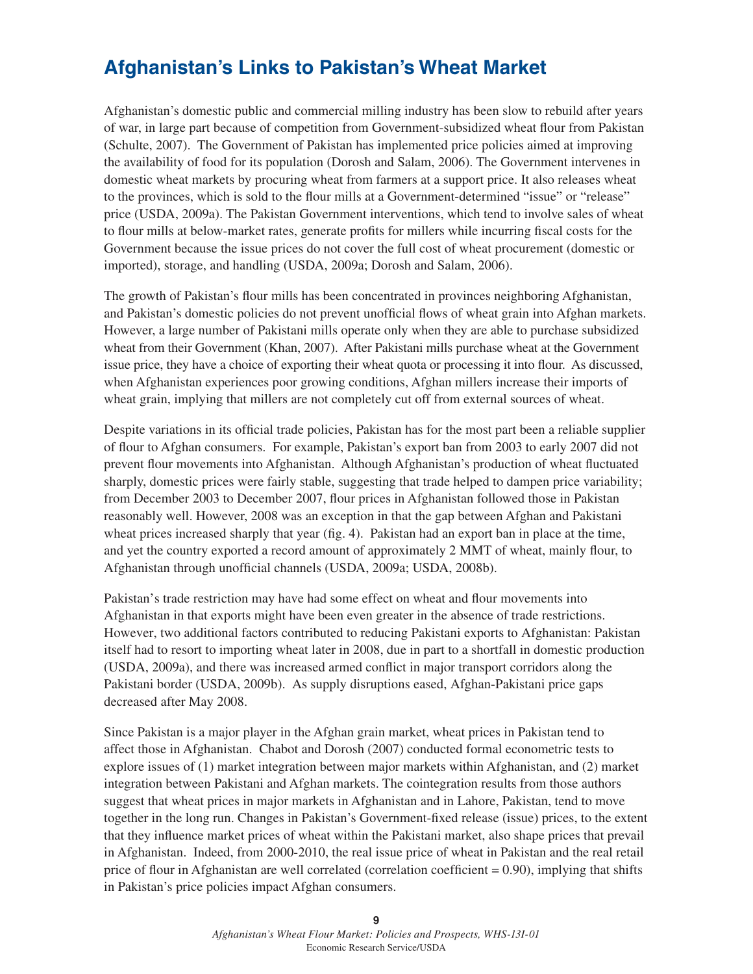# **Afghanistan's Links to Pakistan's Wheat Market**

Afghanistan's domestic public and commercial milling industry has been slow to rebuild after years of war, in large part because of competition from Government-subsidized wheat flour from Pakistan (Schulte, 2007). The Government of Pakistan has implemented price policies aimed at improving the availability of food for its population (Dorosh and Salam, 2006). The Government intervenes in domestic wheat markets by procuring wheat from farmers at a support price. It also releases wheat to the provinces, which is sold to the flour mills at a Government-determined "issue" or "release" price (USDA, 2009a). The Pakistan Government interventions, which tend to involve sales of wheat to flour mills at below-market rates, generate profits for millers while incurring fiscal costs for the Government because the issue prices do not cover the full cost of wheat procurement (domestic or imported), storage, and handling (USDA, 2009a; Dorosh and Salam, 2006).

The growth of Pakistan's flour mills has been concentrated in provinces neighboring Afghanistan, and Pakistan's domestic policies do not prevent unofficial flows of wheat grain into Afghan markets. However, a large number of Pakistani mills operate only when they are able to purchase subsidized wheat from their Government (Khan, 2007). After Pakistani mills purchase wheat at the Government issue price, they have a choice of exporting their wheat quota or processing it into flour. As discussed, when Afghanistan experiences poor growing conditions, Afghan millers increase their imports of wheat grain, implying that millers are not completely cut off from external sources of wheat.

Despite variations in its official trade policies, Pakistan has for the most part been a reliable supplier of flour to Afghan consumers. For example, Pakistan's export ban from 2003 to early 2007 did not prevent flour movements into Afghanistan. Although Afghanistan's production of wheat fluctuated sharply, domestic prices were fairly stable, suggesting that trade helped to dampen price variability; from December 2003 to December 2007, flour prices in Afghanistan followed those in Pakistan reasonably well. However, 2008 was an exception in that the gap between Afghan and Pakistani wheat prices increased sharply that year (fig. 4). Pakistan had an export ban in place at the time, and yet the country exported a record amount of approximately 2 MMT of wheat, mainly flour, to Afghanistan through unofficial channels (USDA, 2009a; USDA, 2008b).

Pakistan's trade restriction may have had some effect on wheat and flour movements into Afghanistan in that exports might have been even greater in the absence of trade restrictions. However, two additional factors contributed to reducing Pakistani exports to Afghanistan: Pakistan itself had to resort to importing wheat later in 2008, due in part to a shortfall in domestic production (USDA, 2009a), and there was increased armed conflict in major transport corridors along the Pakistani border (USDA, 2009b). As supply disruptions eased, Afghan-Pakistani price gaps decreased after May 2008.

Since Pakistan is a major player in the Afghan grain market, wheat prices in Pakistan tend to affect those in Afghanistan. Chabot and Dorosh (2007) conducted formal econometric tests to explore issues of (1) market integration between major markets within Afghanistan, and (2) market integration between Pakistani and Afghan markets. The cointegration results from those authors suggest that wheat prices in major markets in Afghanistan and in Lahore, Pakistan, tend to move together in the long run. Changes in Pakistan's Government-fixed release (issue) prices, to the extent that they influence market prices of wheat within the Pakistani market, also shape prices that prevail in Afghanistan. Indeed, from 2000-2010, the real issue price of wheat in Pakistan and the real retail price of flour in Afghanistan are well correlated (correlation coefficient  $= 0.90$ ), implying that shifts in Pakistan's price policies impact Afghan consumers.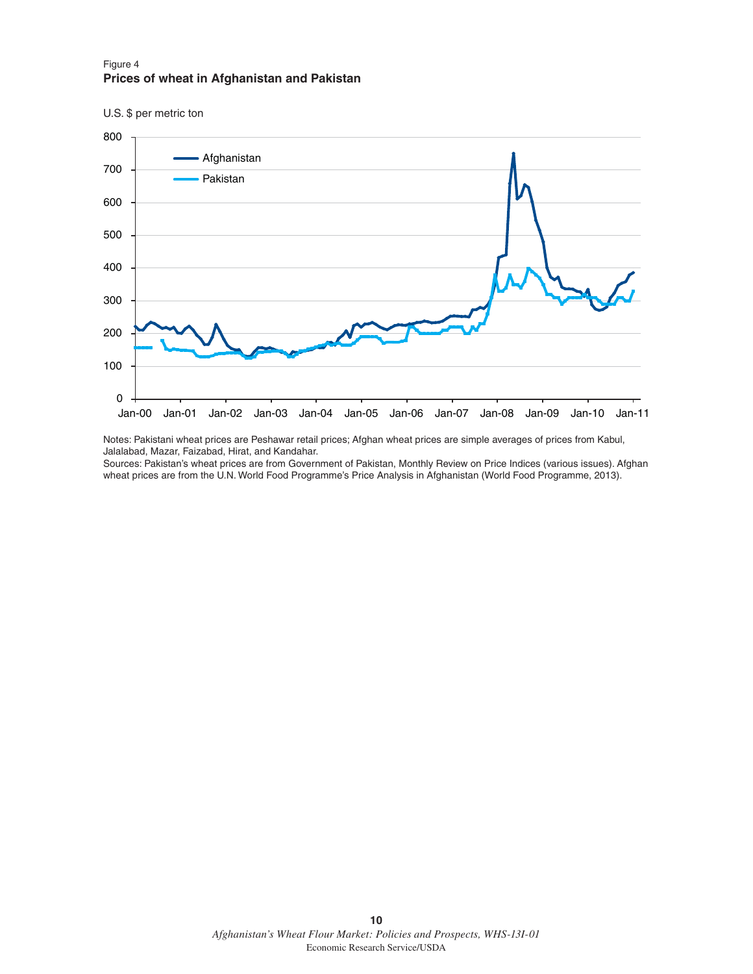#### Figure 4 **Prices of wheat in Afghanistan and Pakistan**

U.S. \$ per metric ton



Notes: Pakistani wheat prices are Peshawar retail prices; Afghan wheat prices are simple averages of prices from Kabul, Jalalabad, Mazar, Faizabad, Hirat, and Kandahar.

Sources: Pakistan's wheat prices are from Government of Pakistan, Monthly Review on Price Indices (various issues). Afghan wheat prices are from the U.N. World Food Programme's Price Analysis in Afghanistan (World Food Programme, 2013).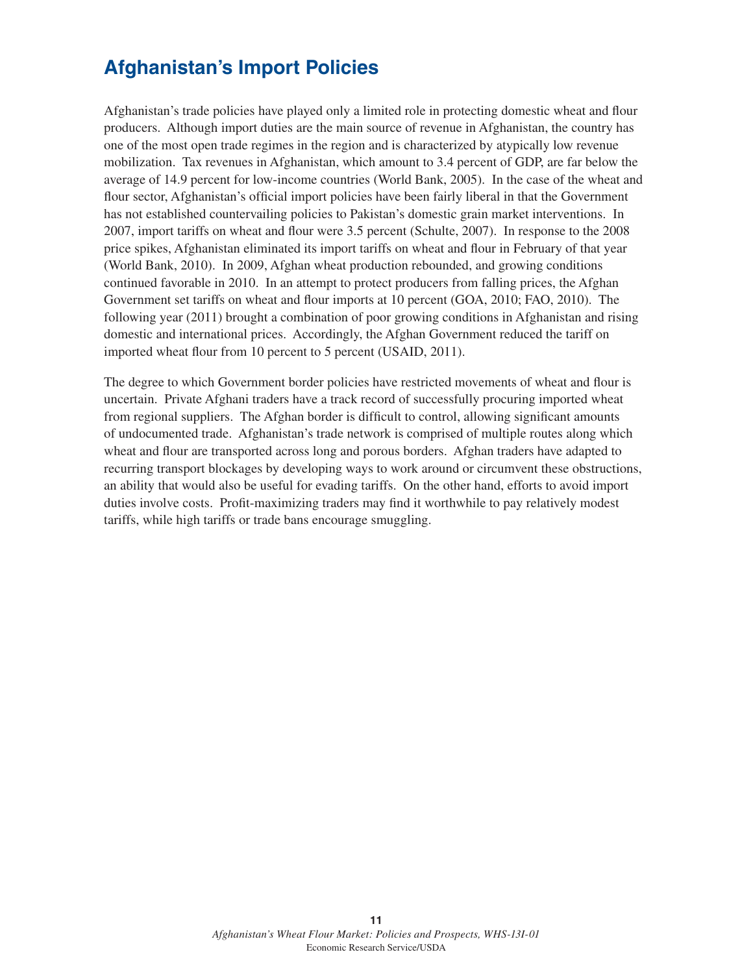# **Afghanistan's Import Policies**

Afghanistan's trade policies have played only a limited role in protecting domestic wheat and flour producers. Although import duties are the main source of revenue in Afghanistan, the country has one of the most open trade regimes in the region and is characterized by atypically low revenue mobilization. Tax revenues in Afghanistan, which amount to 3.4 percent of GDP, are far below the average of 14.9 percent for low-income countries (World Bank, 2005). In the case of the wheat and flour sector, Afghanistan's official import policies have been fairly liberal in that the Government has not established countervailing policies to Pakistan's domestic grain market interventions. In 2007, import tariffs on wheat and flour were 3.5 percent (Schulte, 2007). In response to the 2008 price spikes, Afghanistan eliminated its import tariffs on wheat and flour in February of that year (World Bank, 2010). In 2009, Afghan wheat production rebounded, and growing conditions continued favorable in 2010. In an attempt to protect producers from falling prices, the Afghan Government set tariffs on wheat and flour imports at 10 percent (GOA, 2010; FAO, 2010). The following year (2011) brought a combination of poor growing conditions in Afghanistan and rising domestic and international prices. Accordingly, the Afghan Government reduced the tariff on imported wheat flour from 10 percent to 5 percent (USAID, 2011).

The degree to which Government border policies have restricted movements of wheat and flour is uncertain. Private Afghani traders have a track record of successfully procuring imported wheat from regional suppliers. The Afghan border is difficult to control, allowing significant amounts of undocumented trade. Afghanistan's trade network is comprised of multiple routes along which wheat and flour are transported across long and porous borders. Afghan traders have adapted to recurring transport blockages by developing ways to work around or circumvent these obstructions, an ability that would also be useful for evading tariffs. On the other hand, efforts to avoid import duties involve costs. Profit-maximizing traders may find it worthwhile to pay relatively modest tariffs, while high tariffs or trade bans encourage smuggling.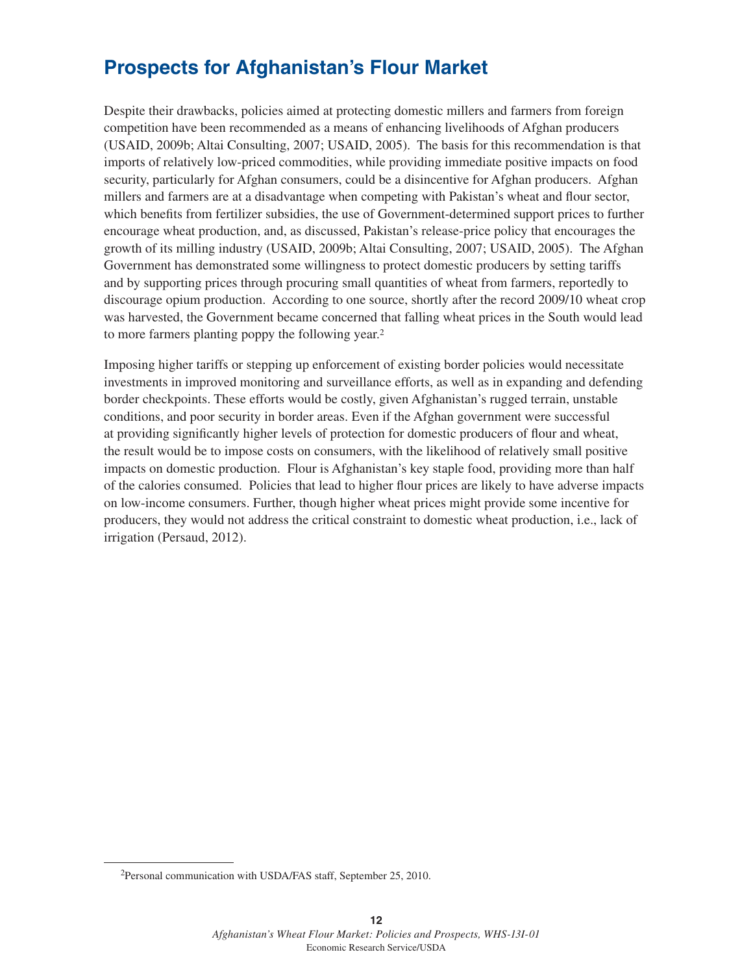# **Prospects for Afghanistan's Flour Market**

Despite their drawbacks, policies aimed at protecting domestic millers and farmers from foreign competition have been recommended as a means of enhancing livelihoods of Afghan producers (USAID, 2009b; Altai Consulting, 2007; USAID, 2005). The basis for this recommendation is that imports of relatively low-priced commodities, while providing immediate positive impacts on food security, particularly for Afghan consumers, could be a disincentive for Afghan producers. Afghan millers and farmers are at a disadvantage when competing with Pakistan's wheat and flour sector, which benefits from fertilizer subsidies, the use of Government-determined support prices to further encourage wheat production, and, as discussed, Pakistan's release-price policy that encourages the growth of its milling industry (USAID, 2009b; Altai Consulting, 2007; USAID, 2005). The Afghan Government has demonstrated some willingness to protect domestic producers by setting tariffs and by supporting prices through procuring small quantities of wheat from farmers, reportedly to discourage opium production. According to one source, shortly after the record 2009/10 wheat crop was harvested, the Government became concerned that falling wheat prices in the South would lead to more farmers planting poppy the following year.2

Imposing higher tariffs or stepping up enforcement of existing border policies would necessitate investments in improved monitoring and surveillance efforts, as well as in expanding and defending border checkpoints. These efforts would be costly, given Afghanistan's rugged terrain, unstable conditions, and poor security in border areas. Even if the Afghan government were successful at providing significantly higher levels of protection for domestic producers of flour and wheat, the result would be to impose costs on consumers, with the likelihood of relatively small positive impacts on domestic production. Flour is Afghanistan's key staple food, providing more than half of the calories consumed. Policies that lead to higher flour prices are likely to have adverse impacts on low-income consumers. Further, though higher wheat prices might provide some incentive for producers, they would not address the critical constraint to domestic wheat production, i.e., lack of irrigation (Persaud, 2012).

<sup>2</sup>Personal communication with USDA/FAS staff, September 25, 2010.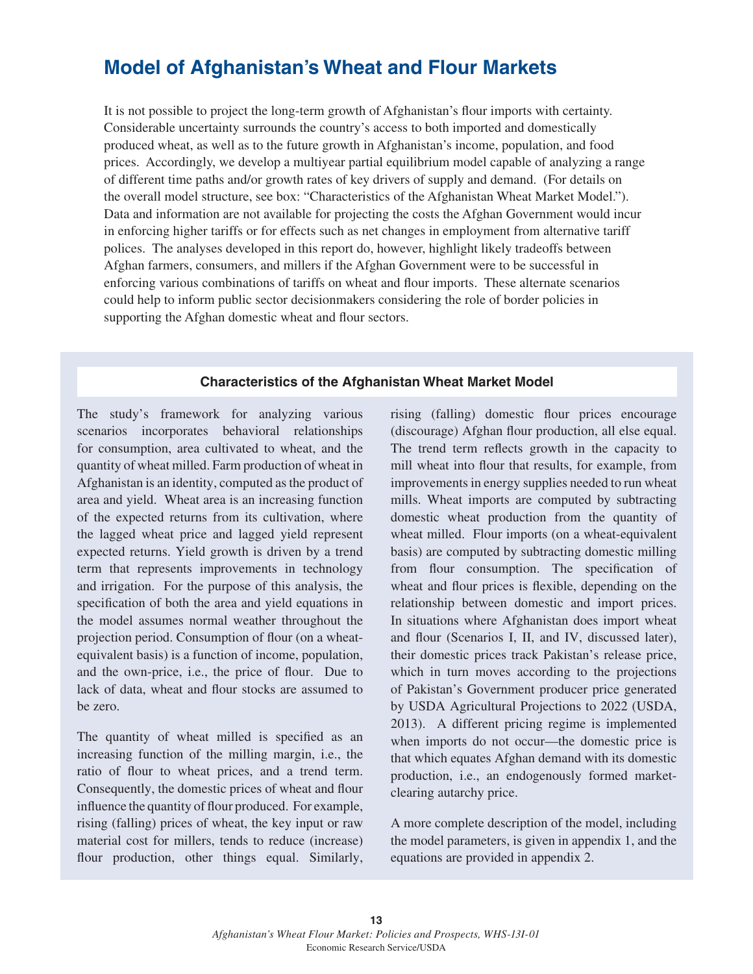# **Model of Afghanistan's Wheat and Flour Markets**

It is not possible to project the long-term growth of Afghanistan's flour imports with certainty. Considerable uncertainty surrounds the country's access to both imported and domestically produced wheat, as well as to the future growth in Afghanistan's income, population, and food prices. Accordingly, we develop a multiyear partial equilibrium model capable of analyzing a range of different time paths and/or growth rates of key drivers of supply and demand. (For details on the overall model structure, see box: "Characteristics of the Afghanistan Wheat Market Model."). Data and information are not available for projecting the costs the Afghan Government would incur in enforcing higher tariffs or for effects such as net changes in employment from alternative tariff polices. The analyses developed in this report do, however, highlight likely tradeoffs between Afghan farmers, consumers, and millers if the Afghan Government were to be successful in enforcing various combinations of tariffs on wheat and flour imports. These alternate scenarios could help to inform public sector decisionmakers considering the role of border policies in supporting the Afghan domestic wheat and flour sectors.

## **Characteristics of the Afghanistan Wheat Market Model**

The study's framework for analyzing various scenarios incorporates behavioral relationships for consumption, area cultivated to wheat, and the quantity of wheat milled. Farm production of wheat in Afghanistan is an identity, computed as the product of area and yield. Wheat area is an increasing function of the expected returns from its cultivation, where the lagged wheat price and lagged yield represent expected returns. Yield growth is driven by a trend term that represents improvements in technology and irrigation. For the purpose of this analysis, the specification of both the area and yield equations in the model assumes normal weather throughout the projection period. Consumption of flour (on a wheatequivalent basis) is a function of income, population, and the own-price, i.e., the price of flour. Due to lack of data, wheat and flour stocks are assumed to be zero.

The quantity of wheat milled is specified as an increasing function of the milling margin, i.e., the ratio of flour to wheat prices, and a trend term. Consequently, the domestic prices of wheat and flour influence the quantity of flour produced. For example, rising (falling) prices of wheat, the key input or raw material cost for millers, tends to reduce (increase) flour production, other things equal. Similarly, rising (falling) domestic flour prices encourage (discourage) Afghan flour production, all else equal. The trend term reflects growth in the capacity to mill wheat into flour that results, for example, from improvements in energy supplies needed to run wheat mills. Wheat imports are computed by subtracting domestic wheat production from the quantity of wheat milled. Flour imports (on a wheat-equivalent basis) are computed by subtracting domestic milling from flour consumption. The specification of wheat and flour prices is flexible, depending on the relationship between domestic and import prices. In situations where Afghanistan does import wheat and flour (Scenarios I, II, and IV, discussed later), their domestic prices track Pakistan's release price, which in turn moves according to the projections of Pakistan's Government producer price generated by USDA Agricultural Projections to 2022 (USDA, 2013). A different pricing regime is implemented when imports do not occur—the domestic price is that which equates Afghan demand with its domestic production, i.e., an endogenously formed marketclearing autarchy price.

A more complete description of the model, including the model parameters, is given in appendix 1, and the equations are provided in appendix 2.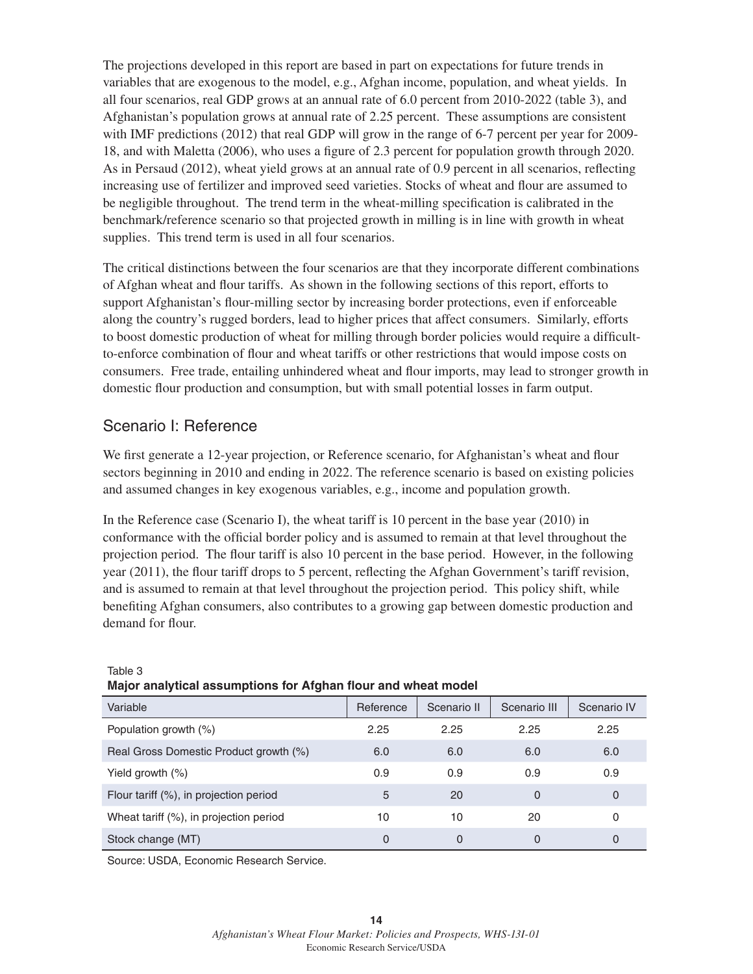The projections developed in this report are based in part on expectations for future trends in variables that are exogenous to the model, e.g., Afghan income, population, and wheat yields. In all four scenarios, real GDP grows at an annual rate of 6.0 percent from 2010-2022 (table 3), and Afghanistan's population grows at annual rate of 2.25 percent. These assumptions are consistent with IMF predictions (2012) that real GDP will grow in the range of 6-7 percent per year for 2009-18, and with Maletta (2006), who uses a figure of 2.3 percent for population growth through 2020. As in Persaud (2012), wheat yield grows at an annual rate of 0.9 percent in all scenarios, reflecting increasing use of fertilizer and improved seed varieties. Stocks of wheat and flour are assumed to be negligible throughout. The trend term in the wheat-milling specification is calibrated in the benchmark/reference scenario so that projected growth in milling is in line with growth in wheat supplies. This trend term is used in all four scenarios.

The critical distinctions between the four scenarios are that they incorporate different combinations of Afghan wheat and flour tariffs. As shown in the following sections of this report, efforts to support Afghanistan's flour-milling sector by increasing border protections, even if enforceable along the country's rugged borders, lead to higher prices that affect consumers. Similarly, efforts to boost domestic production of wheat for milling through border policies would require a difficultto-enforce combination of flour and wheat tariffs or other restrictions that would impose costs on consumers. Free trade, entailing unhindered wheat and flour imports, may lead to stronger growth in domestic flour production and consumption, but with small potential losses in farm output.

## Scenario I: Reference

We first generate a 12-year projection, or Reference scenario, for Afghanistan's wheat and flour sectors beginning in 2010 and ending in 2022. The reference scenario is based on existing policies and assumed changes in key exogenous variables, e.g., income and population growth.

In the Reference case (Scenario I), the wheat tariff is 10 percent in the base year (2010) in conformance with the official border policy and is assumed to remain at that level throughout the projection period. The flour tariff is also 10 percent in the base period. However, in the following year  $(2011)$ , the flour tariff drops to 5 percent, reflecting the Afghan Government's tariff revision, and is assumed to remain at that level throughout the projection period. This policy shift, while benefiting Afghan consumers, also contributes to a growing gap between domestic production and demand for flour.

| . <u>. .</u>                           |           |             |              |             |  |  |
|----------------------------------------|-----------|-------------|--------------|-------------|--|--|
| Variable                               | Reference | Scenario II | Scenario III | Scenario IV |  |  |
| Population growth (%)                  | 2.25      | 2.25        | 2.25         | 2.25        |  |  |
| Real Gross Domestic Product growth (%) | 6.0       | 6.0         | 6.0          | 6.0         |  |  |
| Yield growth $(\%)$                    | 0.9       | 0.9         | 0.9          | 0.9         |  |  |
| Flour tariff (%), in projection period | 5         | 20          | 0            | 0           |  |  |
| Wheat tariff (%), in projection period | 10        | 10          | 20           | 0           |  |  |
| Stock change (MT)                      | $\Omega$  | $\Omega$    | 0            | 0           |  |  |

### Table 3 **Major analytical assumptions for Afghan flour and wheat model**

Source: USDA, Economic Research Service.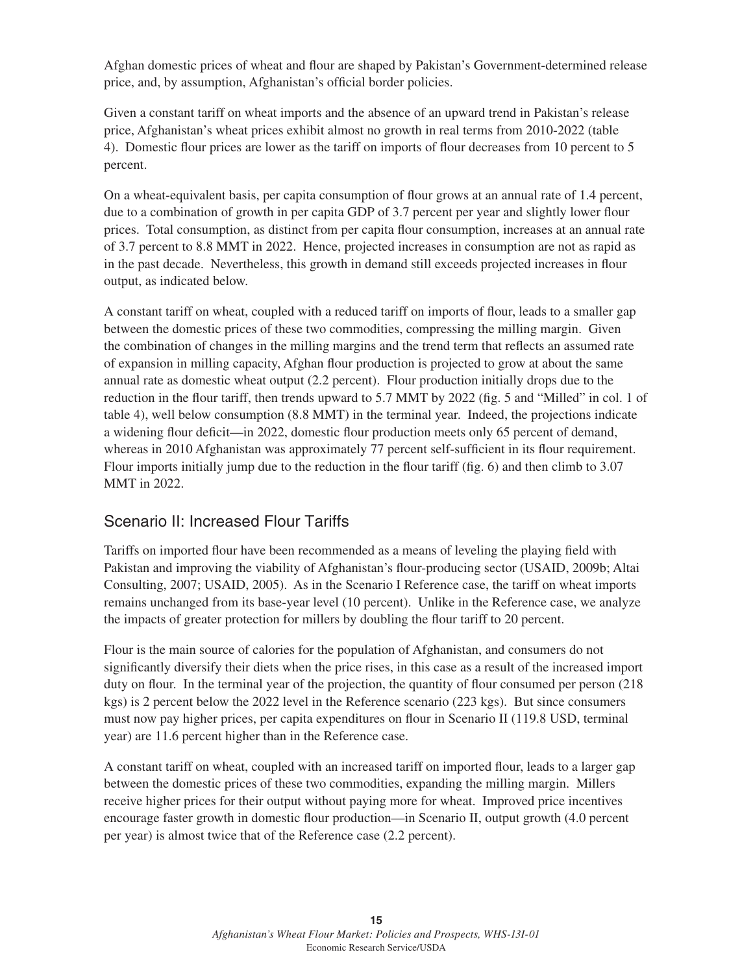Afghan domestic prices of wheat and flour are shaped by Pakistan's Government-determined release price, and, by assumption, Afghanistan's official border policies.

Given a constant tariff on wheat imports and the absence of an upward trend in Pakistan's release price, Afghanistan's wheat prices exhibit almost no growth in real terms from 2010-2022 (table 4). Domestic flour prices are lower as the tariff on imports of flour decreases from 10 percent to 5 percent.

On a wheat-equivalent basis, per capita consumption of flour grows at an annual rate of 1.4 percent, due to a combination of growth in per capita GDP of 3.7 percent per year and slightly lower flour prices. Total consumption, as distinct from per capita flour consumption, increases at an annual rate of 3.7 percent to 8.8 MMT in 2022. Hence, projected increases in consumption are not as rapid as in the past decade. Nevertheless, this growth in demand still exceeds projected increases in flour output, as indicated below.

A constant tariff on wheat, coupled with a reduced tariff on imports of flour, leads to a smaller gap between the domestic prices of these two commodities, compressing the milling margin. Given the combination of changes in the milling margins and the trend term that reflects an assumed rate of expansion in milling capacity, Afghan flour production is projected to grow at about the same annual rate as domestic wheat output (2.2 percent). Flour production initially drops due to the reduction in the flour tariff, then trends upward to 5.7 MMT by 2022 (fig. 5 and "Milled" in col. 1 of table 4), well below consumption (8.8 MMT) in the terminal year. Indeed, the projections indicate a widening flour deficit—in 2022, domestic flour production meets only 65 percent of demand, whereas in 2010 Afghanistan was approximately 77 percent self-sufficient in its flour requirement. Flour imports initially jump due to the reduction in the flour tariff (fig. 6) and then climb to 3.07 MMT in 2022.

## Scenario II: Increased Flour Tariffs

Tariffs on imported flour have been recommended as a means of leveling the playing field with Pakistan and improving the viability of Afghanistan's flour-producing sector (USAID, 2009b; Altai Consulting, 2007; USAID, 2005). As in the Scenario I Reference case, the tariff on wheat imports remains unchanged from its base-year level (10 percent). Unlike in the Reference case, we analyze the impacts of greater protection for millers by doubling the flour tariff to 20 percent.

Flour is the main source of calories for the population of Afghanistan, and consumers do not significantly diversify their diets when the price rises, in this case as a result of the increased import duty on flour. In the terminal year of the projection, the quantity of flour consumed per person (218) kgs) is 2 percent below the 2022 level in the Reference scenario (223 kgs). But since consumers must now pay higher prices, per capita expenditures on flour in Scenario II (119.8 USD, terminal year) are 11.6 percent higher than in the Reference case.

A constant tariff on wheat, coupled with an increased tariff on imported flour, leads to a larger gap between the domestic prices of these two commodities, expanding the milling margin. Millers receive higher prices for their output without paying more for wheat. Improved price incentives encourage faster growth in domestic flour production—in Scenario II, output growth (4.0 percent per year) is almost twice that of the Reference case (2.2 percent).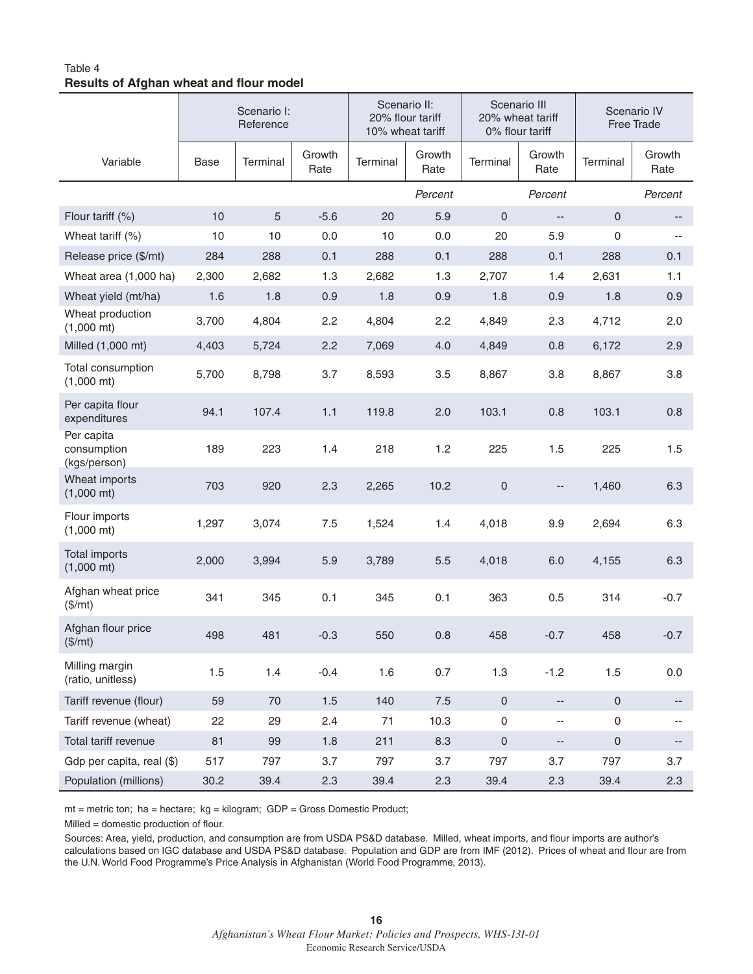## Table 4 **Results of Afghan wheat and flour model**

|                                           | Scenario I:<br>Reference |          | Scenario II:<br>20% flour tariff<br>10% wheat tariff |          | Scenario III<br>20% wheat tariff<br>0% flour tariff |                     | Scenario IV<br>Free Trade |                     |                |
|-------------------------------------------|--------------------------|----------|------------------------------------------------------|----------|-----------------------------------------------------|---------------------|---------------------------|---------------------|----------------|
| Variable                                  | Base                     | Terminal | Growth<br>Rate                                       | Terminal | Growth<br>Rate                                      | Terminal            | Growth<br>Rate            | Terminal            | Growth<br>Rate |
|                                           |                          |          |                                                      |          | Percent                                             |                     | Percent                   |                     | Percent        |
| Flour tariff (%)                          | 10                       | 5        | $-5.6$                                               | 20       | 5.9                                                 | $\mathsf{O}\xspace$ | $\overline{\phantom{a}}$  | $\mathbf{0}$        | --             |
| Wheat tariff $(\%)$                       | 10                       | 10       | 0.0                                                  | 10       | 0.0                                                 | 20                  | 5.9                       | 0                   |                |
| Release price (\$/mt)                     | 284                      | 288      | 0.1                                                  | 288      | 0.1                                                 | 288                 | 0.1                       | 288                 | 0.1            |
| Wheat area (1,000 ha)                     | 2,300                    | 2,682    | 1.3                                                  | 2,682    | 1.3                                                 | 2,707               | 1.4                       | 2,631               | 1.1            |
| Wheat yield (mt/ha)                       | 1.6                      | 1.8      | 0.9                                                  | 1.8      | 0.9                                                 | 1.8                 | 0.9                       | 1.8                 | 0.9            |
| Wheat production<br>$(1,000 \text{ mt})$  | 3,700                    | 4,804    | 2.2                                                  | 4,804    | 2.2                                                 | 4,849               | 2.3                       | 4,712               | 2.0            |
| Milled (1,000 mt)                         | 4,403                    | 5,724    | 2.2                                                  | 7,069    | 4.0                                                 | 4,849               | 0.8                       | 6,172               | 2.9            |
| Total consumption<br>$(1,000 \text{ mt})$ | 5,700                    | 8,798    | 3.7                                                  | 8,593    | 3.5                                                 | 8,867               | 3.8                       | 8,867               | 3.8            |
| Per capita flour<br>expenditures          | 94.1                     | 107.4    | 1.1                                                  | 119.8    | 2.0                                                 | 103.1               | 0.8                       | 103.1               | 0.8            |
| Per capita<br>consumption<br>(kgs/person) | 189                      | 223      | 1.4                                                  | 218      | 1.2                                                 | 225                 | 1.5                       | 225                 | 1.5            |
| Wheat imports<br>$(1,000 \text{ mt})$     | 703                      | 920      | 2.3                                                  | 2,265    | 10.2                                                | $\mathsf{O}\xspace$ |                           | 1,460               | 6.3            |
| Flour imports<br>$(1,000 \text{ mt})$     | 1,297                    | 3,074    | 7.5                                                  | 1,524    | 1.4                                                 | 4,018               | 9.9                       | 2,694               | 6.3            |
| Total imports<br>$(1,000 \text{ mt})$     | 2,000                    | 3,994    | 5.9                                                  | 3,789    | 5.5                                                 | 4,018               | 6.0                       | 4,155               | 6.3            |
| Afghan wheat price<br>(\$/mt)             | 341                      | 345      | 0.1                                                  | 345      | 0.1                                                 | 363                 | 0.5                       | 314                 | $-0.7$         |
| Afghan flour price<br>(\$/mt)             | 498                      | 481      | $-0.3$                                               | 550      | 0.8                                                 | 458                 | $-0.7$                    | 458                 | $-0.7$         |
| Milling margin<br>(ratio, unitless)       | 1.5                      | 1.4      | $-0.4$                                               | 1.6      | 0.7                                                 | 1.3                 | $-1.2$                    | 1.5                 | 0.0            |
| Tariff revenue (flour)                    | 59                       | 70       | 1.5                                                  | 140      | 7.5                                                 | $\mathsf{O}\xspace$ | --                        | $\mathsf{O}\xspace$ | --             |
| Tariff revenue (wheat)                    | 22                       | 29       | 2.4                                                  | 71       | 10.3                                                | $\mathsf{O}\xspace$ | $\overline{\phantom{a}}$  | 0                   |                |
| Total tariff revenue                      | 81                       | 99       | 1.8                                                  | 211      | 8.3                                                 | $\mathsf{O}\xspace$ | $\overline{\phantom{a}}$  | 0                   | --             |
| Gdp per capita, real (\$)                 | 517                      | 797      | 3.7                                                  | 797      | 3.7                                                 | 797                 | 3.7                       | 797                 | 3.7            |
| Population (millions)                     | 30.2                     | 39.4     | 2.3                                                  | 39.4     | 2.3                                                 | 39.4                | 2.3                       | 39.4                | 2.3            |

mt = metric ton; ha = hectare; kg = kilogram; GDP = Gross Domestic Product;

 $Milled = domestic production of flour.$ 

Sources: Area, yield, production, and consumption are from USDA PS&D database. Milled, wheat imports, and flour imports are author's calculations based on IGC database and USDA PS&D database. Population and GDP are from IMF (2012). Prices of wheat and flour are from the U.N. World Food Programme's Price Analysis in Afghanistan (World Food Programme, 2013).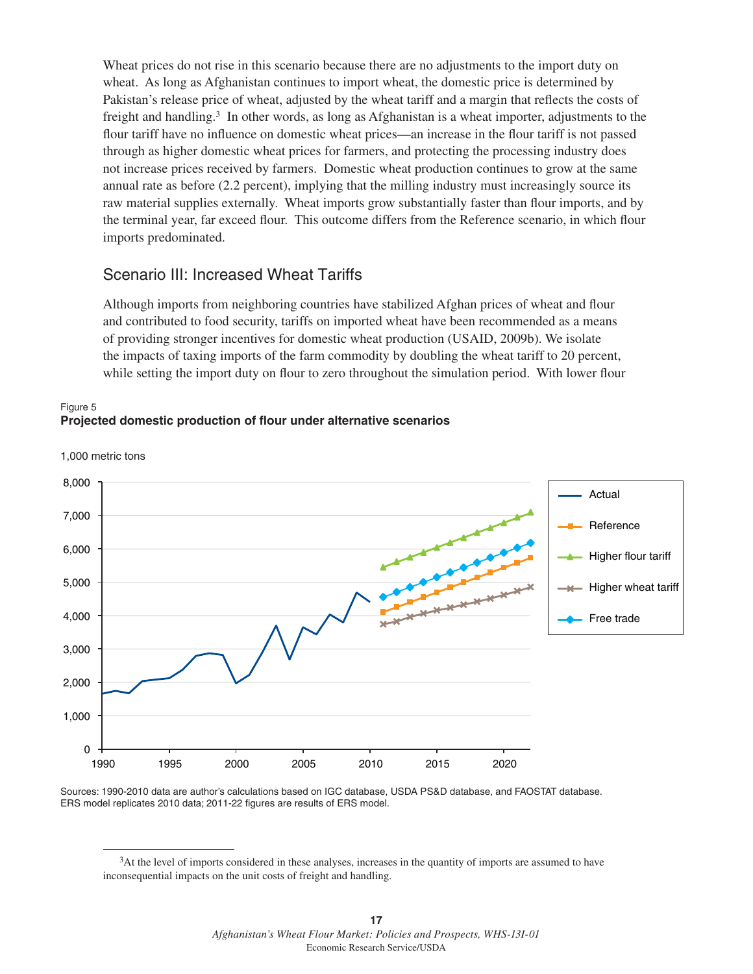Wheat prices do not rise in this scenario because there are no adjustments to the import duty on wheat. As long as Afghanistan continues to import wheat, the domestic price is determined by Pakistan's release price of wheat, adjusted by the wheat tariff and a margin that reflects the costs of freight and handling.3 In other words, as long as Afghanistan is a wheat importer, adjustments to the flour tariff have no influence on domestic wheat prices—an increase in the flour tariff is not passed through as higher domestic wheat prices for farmers, and protecting the processing industry does not increase prices received by farmers. Domestic wheat production continues to grow at the same annual rate as before (2.2 percent), implying that the milling industry must increasingly source its raw material supplies externally. Wheat imports grow substantially faster than flour imports, and by the terminal year, far exceed flour. This outcome differs from the Reference scenario, in which flour imports predominated.

## Scenario III: Increased Wheat Tariffs

Although imports from neighboring countries have stabilized Afghan prices of wheat and flour and contributed to food security, tariffs on imported wheat have been recommended as a means of providing stronger incentives for domestic wheat production (USAID, 2009b). We isolate the impacts of taxing imports of the farm commodity by doubling the wheat tariff to 20 percent, while setting the import duty on flour to zero throughout the simulation period. With lower flour





1,000 metric tons

Sources: 1990-2010 data are author's calculations based on IGC database, USDA PS&D database, and FAOSTAT database. ERS model replicates 2010 data; 2011-22 figures are results of ERS model.

<sup>3</sup>At the level of imports considered in these analyses, increases in the quantity of imports are assumed to have inconsequential impacts on the unit costs of freight and handling.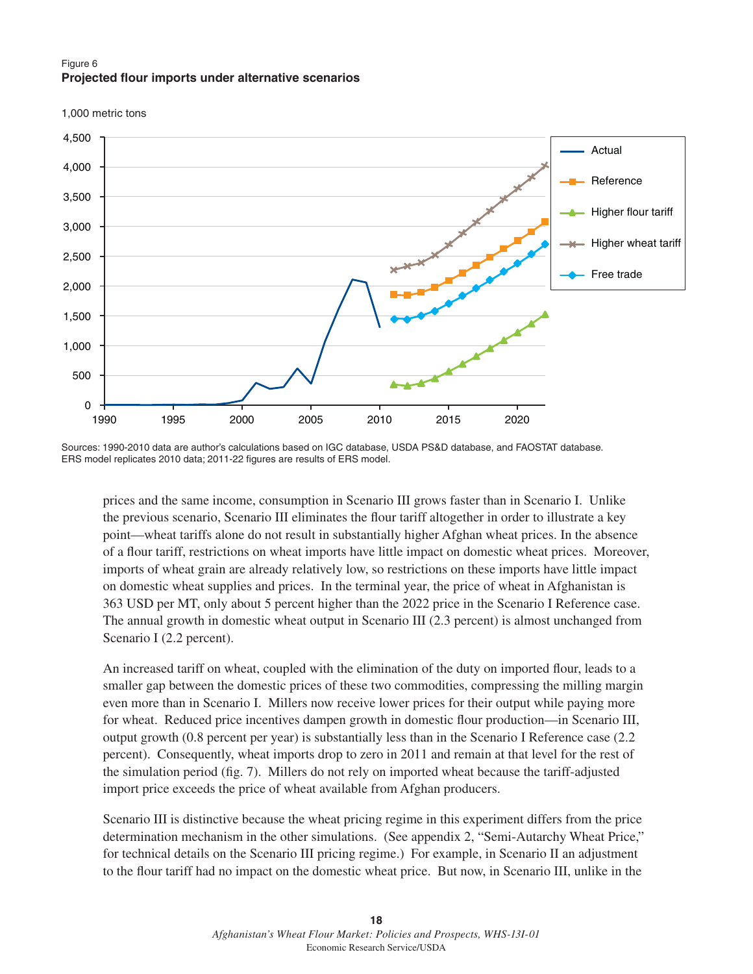### Figure 6 **Projected flour imports under alternative scenarios**





Sources: 1990-2010 data are author's calculations based on IGC database, USDA PS&D database, and FAOSTAT database. ERS model replicates 2010 data; 2011-22 figures are results of ERS model.

prices and the same income, consumption in Scenario III grows faster than in Scenario I. Unlike the previous scenario, Scenario III eliminates the flour tariff altogether in order to illustrate a key point—wheat tariffs alone do not result in substantially higher Afghan wheat prices. In the absence of a flour tariff, restrictions on wheat imports have little impact on domestic wheat prices. Moreover, imports of wheat grain are already relatively low, so restrictions on these imports have little impact on domestic wheat supplies and prices. In the terminal year, the price of wheat in Afghanistan is 363 USD per MT, only about 5 percent higher than the 2022 price in the Scenario I Reference case. The annual growth in domestic wheat output in Scenario III (2.3 percent) is almost unchanged from Scenario I (2.2 percent).

An increased tariff on wheat, coupled with the elimination of the duty on imported flour, leads to a smaller gap between the domestic prices of these two commodities, compressing the milling margin even more than in Scenario I. Millers now receive lower prices for their output while paying more for wheat. Reduced price incentives dampen growth in domestic flour production—in Scenario III, output growth (0.8 percent per year) is substantially less than in the Scenario I Reference case (2.2 percent). Consequently, wheat imports drop to zero in 2011 and remain at that level for the rest of the simulation period (fig. 7). Millers do not rely on imported wheat because the tariff-adjusted import price exceeds the price of wheat available from Afghan producers.

Scenario III is distinctive because the wheat pricing regime in this experiment differs from the price determination mechanism in the other simulations. (See appendix 2, "Semi-Autarchy Wheat Price," for technical details on the Scenario III pricing regime.) For example, in Scenario II an adjustment to the flour tariff had no impact on the domestic wheat price. But now, in Scenario III, unlike in the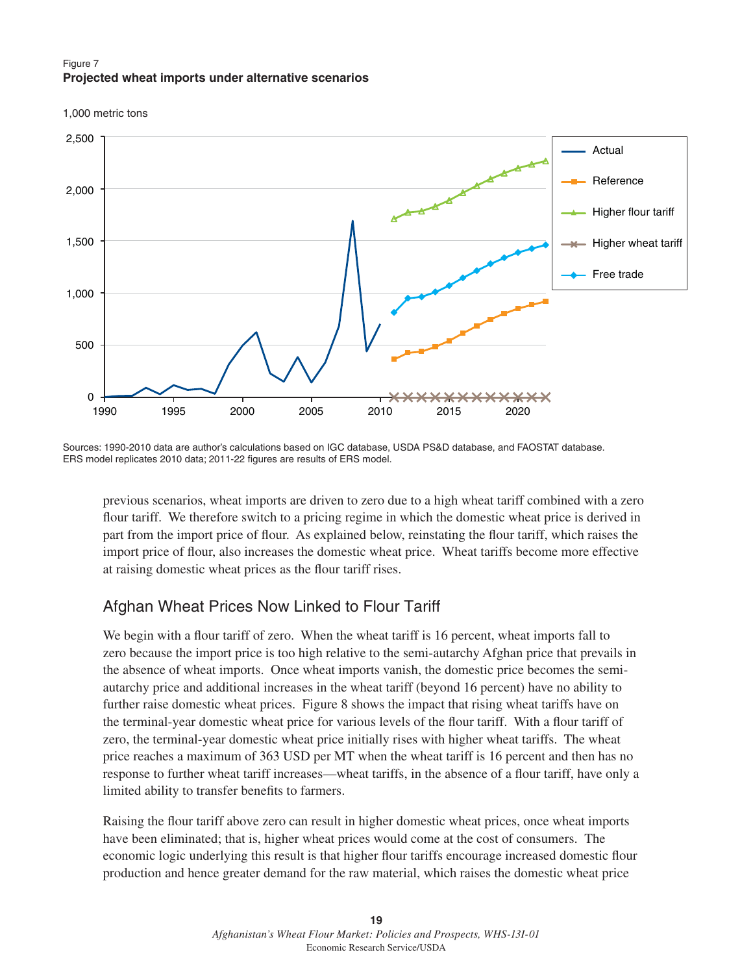### Figure 7 **Projected wheat imports under alternative scenarios**

1,000 metric tons



Sources: 1990-2010 data are author's calculations based on IGC database, USDA PS&D database, and FAOSTAT database. ERS model replicates 2010 data; 2011-22 figures are results of ERS model.

previous scenarios, wheat imports are driven to zero due to a high wheat tariff combined with a zero flour tariff. We therefore switch to a pricing regime in which the domestic wheat price is derived in part from the import price of flour. As explained below, reinstating the flour tariff, which raises the import price of flour, also increases the domestic wheat price. Wheat tariffs become more effective at raising domestic wheat prices as the flour tariff rises.

## Afghan Wheat Prices Now Linked to Flour Tariff

We begin with a flour tariff of zero. When the wheat tariff is 16 percent, wheat imports fall to zero because the import price is too high relative to the semi-autarchy Afghan price that prevails in the absence of wheat imports. Once wheat imports vanish, the domestic price becomes the semiautarchy price and additional increases in the wheat tariff (beyond 16 percent) have no ability to further raise domestic wheat prices. Figure 8 shows the impact that rising wheat tariffs have on the terminal-year domestic wheat price for various levels of the flour tariff. With a flour tariff of zero, the terminal-year domestic wheat price initially rises with higher wheat tariffs. The wheat price reaches a maximum of 363 USD per MT when the wheat tariff is 16 percent and then has no response to further wheat tariff increases—wheat tariffs, in the absence of a flour tariff, have only a limited ability to transfer benefits to farmers.

Raising the flour tariff above zero can result in higher domestic wheat prices, once wheat imports have been eliminated; that is, higher wheat prices would come at the cost of consumers. The economic logic underlying this result is that higher flour tariffs encourage increased domestic flour production and hence greater demand for the raw material, which raises the domestic wheat price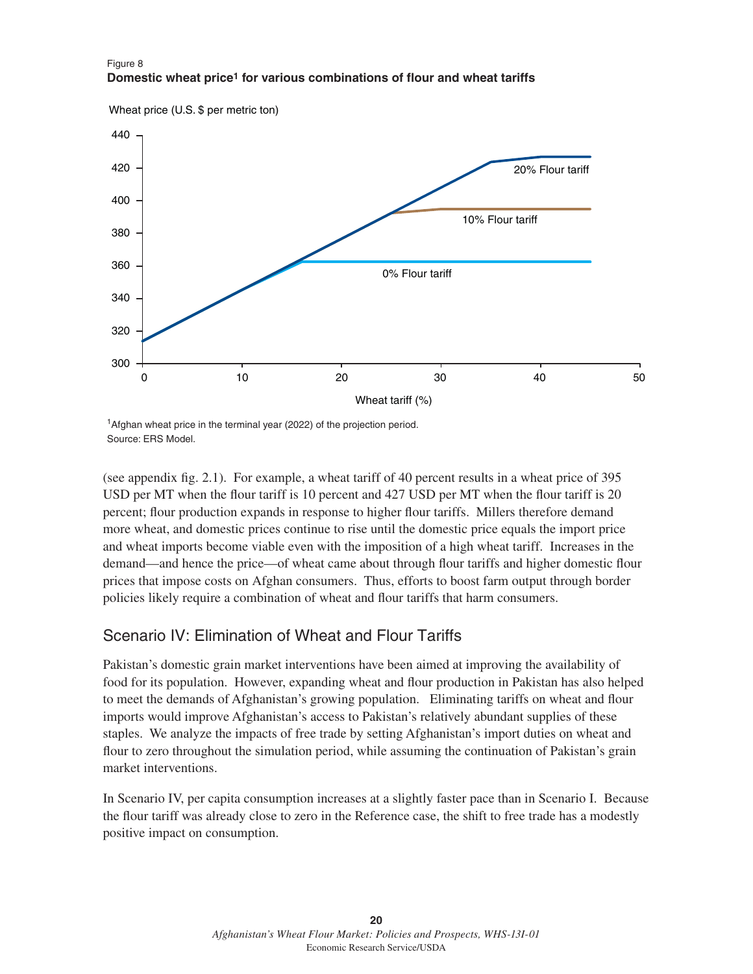

### Figure 8 **Domestic wheat price1 for various combinations of flour and wheat tariffs**

<sup>1</sup>Afghan wheat price in the terminal year (2022) of the projection period. Source: ERS Model.

(see appendix fig. 2.1). For example, a wheat tariff of 40 percent results in a wheat price of  $395$ USD per MT when the flour tariff is 10 percent and 427 USD per MT when the flour tariff is 20 percent; flour production expands in response to higher flour tariffs. Millers therefore demand more wheat, and domestic prices continue to rise until the domestic price equals the import price and wheat imports become viable even with the imposition of a high wheat tariff. Increases in the demand—and hence the price—of wheat came about through flour tariffs and higher domestic flour prices that impose costs on Afghan consumers. Thus, efforts to boost farm output through border policies likely require a combination of wheat and flour tariffs that harm consumers.

## Scenario IV: Elimination of Wheat and Flour Tariffs

Pakistan's domestic grain market interventions have been aimed at improving the availability of food for its population. However, expanding wheat and flour production in Pakistan has also helped to meet the demands of Afghanistan's growing population. Eliminating tariffs on wheat and flour imports would improve Afghanistan's access to Pakistan's relatively abundant supplies of these staples. We analyze the impacts of free trade by setting Afghanistan's import duties on wheat and flour to zero throughout the simulation period, while assuming the continuation of Pakistan's grain market interventions.

In Scenario IV, per capita consumption increases at a slightly faster pace than in Scenario I. Because the flour tariff was already close to zero in the Reference case, the shift to free trade has a modestly positive impact on consumption.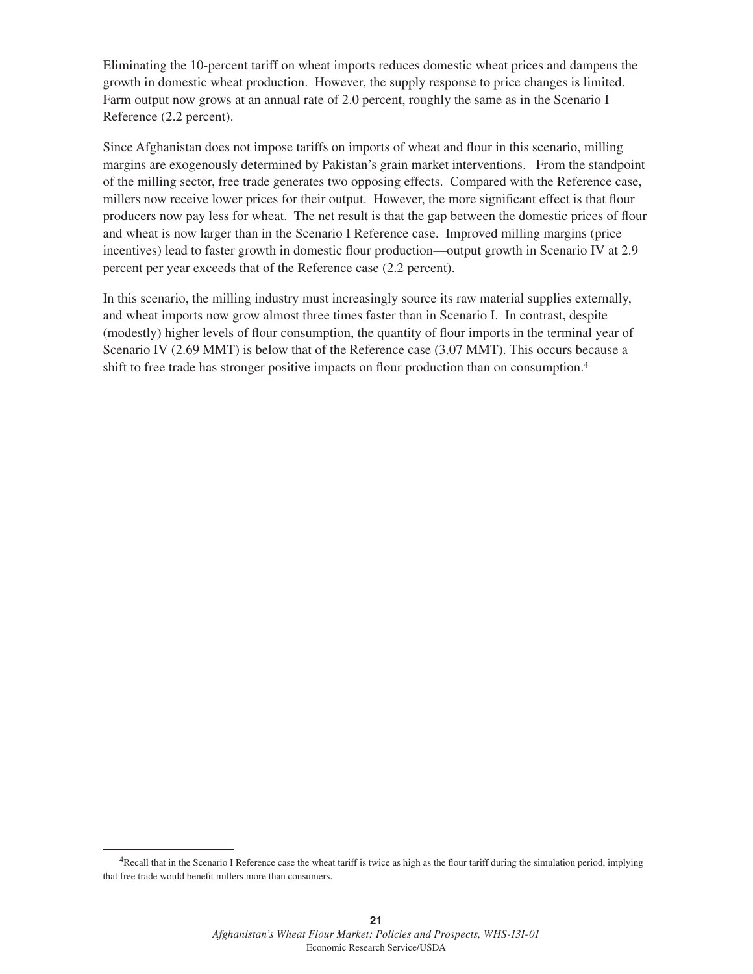Eliminating the 10-percent tariff on wheat imports reduces domestic wheat prices and dampens the growth in domestic wheat production. However, the supply response to price changes is limited. Farm output now grows at an annual rate of 2.0 percent, roughly the same as in the Scenario I Reference (2.2 percent).

Since Afghanistan does not impose tariffs on imports of wheat and flour in this scenario, milling margins are exogenously determined by Pakistan's grain market interventions. From the standpoint of the milling sector, free trade generates two opposing effects. Compared with the Reference case, millers now receive lower prices for their output. However, the more significant effect is that flour producers now pay less for wheat. The net result is that the gap between the domestic prices of flour and wheat is now larger than in the Scenario I Reference case. Improved milling margins (price incentives) lead to faster growth in domestic flour production—output growth in Scenario IV at 2.9 percent per year exceeds that of the Reference case (2.2 percent).

In this scenario, the milling industry must increasingly source its raw material supplies externally, and wheat imports now grow almost three times faster than in Scenario I. In contrast, despite (modestly) higher levels of flour consumption, the quantity of flour imports in the terminal year of Scenario IV (2.69 MMT) is below that of the Reference case (3.07 MMT). This occurs because a shift to free trade has stronger positive impacts on flour production than on consumption.<sup>4</sup>

<sup>&</sup>lt;sup>4</sup>Recall that in the Scenario I Reference case the wheat tariff is twice as high as the flour tariff during the simulation period, implying that free trade would benefit millers more than consumers.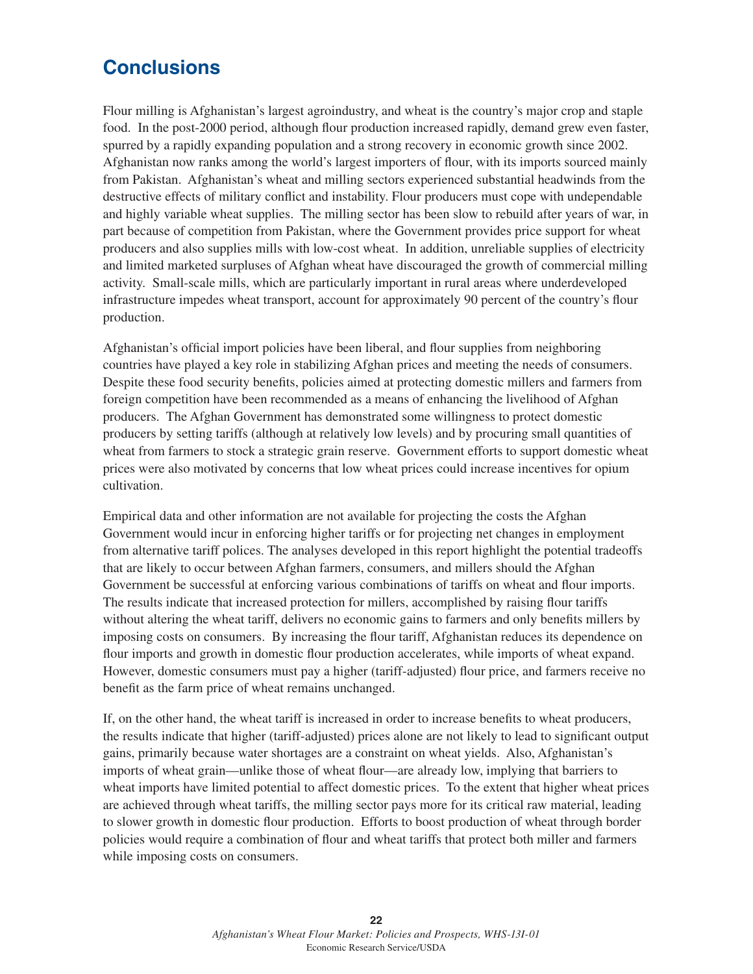# **Conclusions**

Flour milling is Afghanistan's largest agroindustry, and wheat is the country's major crop and staple food. In the post-2000 period, although flour production increased rapidly, demand grew even faster, spurred by a rapidly expanding population and a strong recovery in economic growth since 2002. Afghanistan now ranks among the world's largest importers of flour, with its imports sourced mainly from Pakistan. Afghanistan's wheat and milling sectors experienced substantial headwinds from the destructive effects of military conflict and instability. Flour producers must cope with undependable and highly variable wheat supplies. The milling sector has been slow to rebuild after years of war, in part because of competition from Pakistan, where the Government provides price support for wheat producers and also supplies mills with low-cost wheat. In addition, unreliable supplies of electricity and limited marketed surpluses of Afghan wheat have discouraged the growth of commercial milling activity. Small-scale mills, which are particularly important in rural areas where underdeveloped infrastructure impedes wheat transport, account for approximately 90 percent of the country's flour production.

Afghanistan's official import policies have been liberal, and flour supplies from neighboring countries have played a key role in stabilizing Afghan prices and meeting the needs of consumers. Despite these food security benefits, policies aimed at protecting domestic millers and farmers from foreign competition have been recommended as a means of enhancing the livelihood of Afghan producers. The Afghan Government has demonstrated some willingness to protect domestic producers by setting tariffs (although at relatively low levels) and by procuring small quantities of wheat from farmers to stock a strategic grain reserve. Government efforts to support domestic wheat prices were also motivated by concerns that low wheat prices could increase incentives for opium cultivation.

Empirical data and other information are not available for projecting the costs the Afghan Government would incur in enforcing higher tariffs or for projecting net changes in employment from alternative tariff polices. The analyses developed in this report highlight the potential tradeoffs that are likely to occur between Afghan farmers, consumers, and millers should the Afghan Government be successful at enforcing various combinations of tariffs on wheat and flour imports. The results indicate that increased protection for millers, accomplished by raising flour tariffs without altering the wheat tariff, delivers no economic gains to farmers and only benefits millers by imposing costs on consumers. By increasing the flour tariff, Afghanistan reduces its dependence on flour imports and growth in domestic flour production accelerates, while imports of wheat expand. However, domestic consumers must pay a higher (tariff-adjusted) flour price, and farmers receive no benefit as the farm price of wheat remains unchanged.

If, on the other hand, the wheat tariff is increased in order to increase benefits to wheat producers, the results indicate that higher (tariff-adjusted) prices alone are not likely to lead to significant output gains, primarily because water shortages are a constraint on wheat yields. Also, Afghanistan's imports of wheat grain—unlike those of wheat flour—are already low, implying that barriers to wheat imports have limited potential to affect domestic prices. To the extent that higher wheat prices are achieved through wheat tariffs, the milling sector pays more for its critical raw material, leading to slower growth in domestic flour production. Efforts to boost production of wheat through border policies would require a combination of flour and wheat tariffs that protect both miller and farmers while imposing costs on consumers.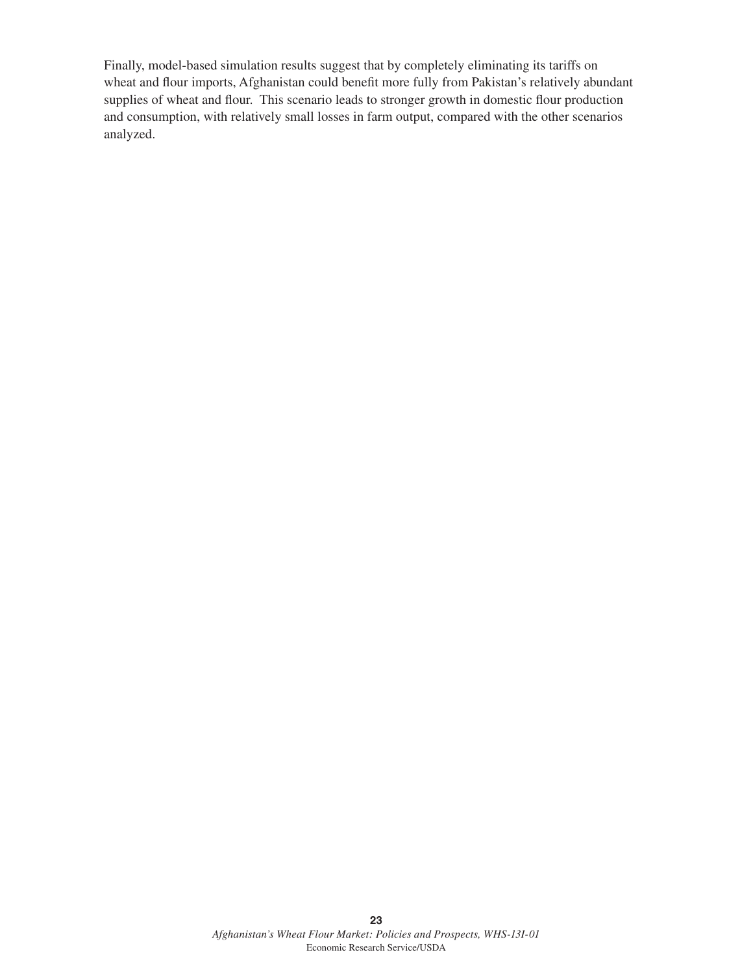Finally, model-based simulation results suggest that by completely eliminating its tariffs on wheat and flour imports, Afghanistan could benefit more fully from Pakistan's relatively abundant supplies of wheat and flour. This scenario leads to stronger growth in domestic flour production and consumption, with relatively small losses in farm output, compared with the other scenarios analyzed.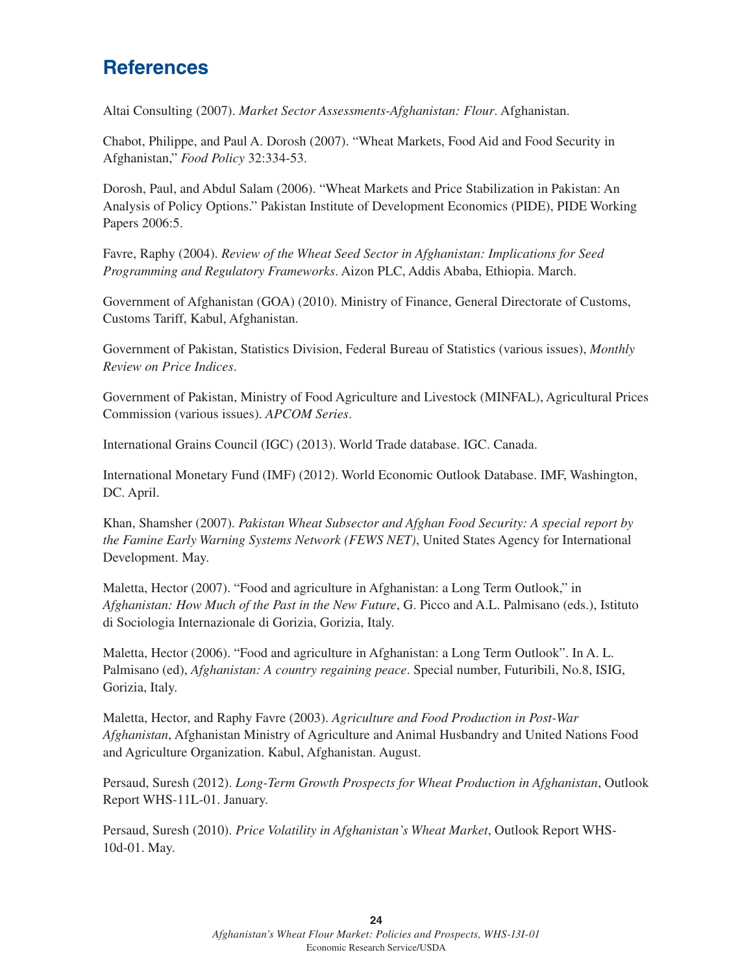# **References**

Altai Consulting (2007). *Market Sector Assessments-Afghanistan: Flour*. Afghanistan.

Chabot, Philippe, and Paul A. Dorosh (2007). "Wheat Markets, Food Aid and Food Security in Afghanistan," *Food Policy* 32:334-53.

Dorosh, Paul, and Abdul Salam (2006). "Wheat Markets and Price Stabilization in Pakistan: An Analysis of Policy Options." Pakistan Institute of Development Economics (PIDE), PIDE Working Papers 2006:5.

Favre, Raphy (2004). *Review of the Wheat Seed Sector in Afghanistan: Implications for Seed Programming and Regulatory Frameworks*. Aizon PLC, Addis Ababa, Ethiopia. March.

Government of Afghanistan (GOA) (2010). Ministry of Finance, General Directorate of Customs, Customs Tariff, Kabul, Afghanistan.

Government of Pakistan, Statistics Division, Federal Bureau of Statistics (various issues), *Monthly Review on Price Indices*.

Government of Pakistan, Ministry of Food Agriculture and Livestock (MINFAL), Agricultural Prices Commission (various issues). *APCOM Series*.

International Grains Council (IGC) (2013). World Trade database. IGC. Canada.

International Monetary Fund (IMF) (2012). World Economic Outlook Database. IMF, Washington, DC. April.

Khan, Shamsher (2007). *Pakistan Wheat Subsector and Afghan Food Security: A special report by the Famine Early Warning Systems Network (FEWS NET)*, United States Agency for International Development. May.

Maletta, Hector (2007). "Food and agriculture in Afghanistan: a Long Term Outlook," in *Afghanistan: How Much of the Past in the New Future*, G. Picco and A.L. Palmisano (eds.), Istituto di Sociologia Internazionale di Gorizia, Gorizia, Italy.

Maletta, Hector (2006). "Food and agriculture in Afghanistan: a Long Term Outlook". In A. L. Palmisano (ed), *Afghanistan: A country regaining peace*. Special number, Futuribili, No.8, ISIG, Gorizia, Italy.

Maletta, Hector, and Raphy Favre (2003). *Agriculture and Food Production in Post-War Afghanistan*, Afghanistan Ministry of Agriculture and Animal Husbandry and United Nations Food and Agriculture Organization. Kabul, Afghanistan. August.

Persaud, Suresh (2012). *Long-Term Growth Prospects for Wheat Production in Afghanistan*, Outlook Report WHS-11L-01. January.

Persaud, Suresh (2010). *Price Volatility in Afghanistan's Wheat Market*, Outlook Report WHS-10d-01. May.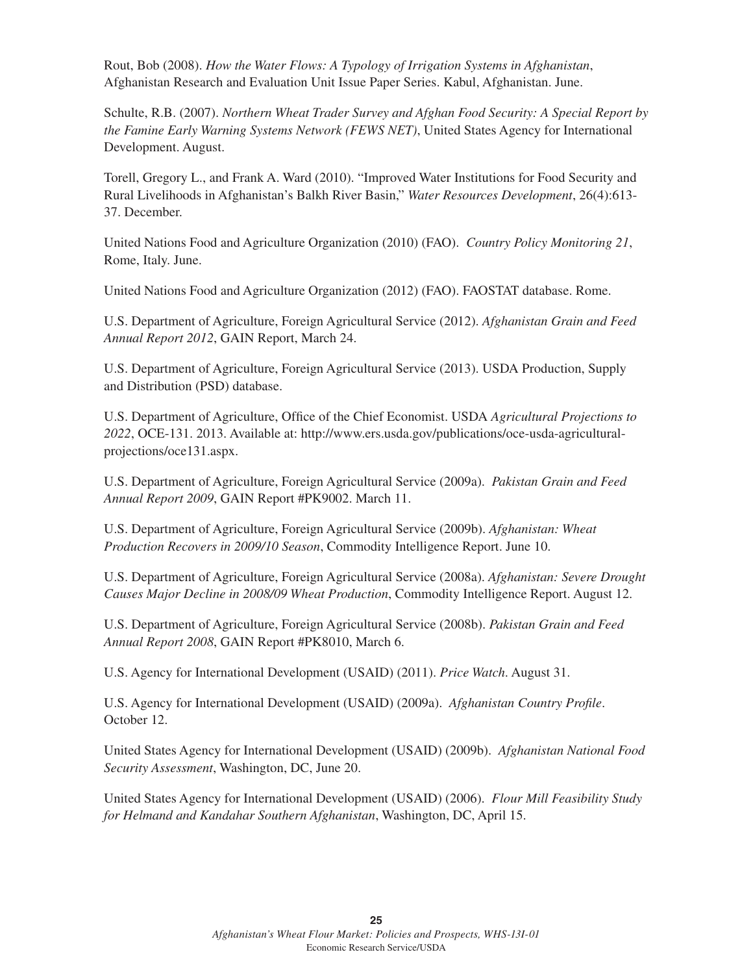Rout, Bob (2008). *How the Water Flows: A Typology of Irrigation Systems in Afghanistan*, Afghanistan Research and Evaluation Unit Issue Paper Series. Kabul, Afghanistan. June.

Schulte, R.B. (2007). *Northern Wheat Trader Survey and Afghan Food Security: A Special Report by the Famine Early Warning Systems Network (FEWS NET)*, United States Agency for International Development. August.

Torell, Gregory L., and Frank A. Ward (2010). "Improved Water Institutions for Food Security and Rural Livelihoods in Afghanistan's Balkh River Basin," *Water Resources Development*, 26(4):613- 37. December.

United Nations Food and Agriculture Organization (2010) (FAO). *Country Policy Monitoring 21*, Rome, Italy. June.

United Nations Food and Agriculture Organization (2012) (FAO). FAOSTAT database. Rome.

U.S. Department of Agriculture, Foreign Agricultural Service (2012). *Afghanistan Grain and Feed Annual Report 2012*, GAIN Report, March 24.

U.S. Department of Agriculture, Foreign Agricultural Service (2013). USDA Production, Supply and Distribution (PSD) database.

U.S. Department of Agriculture, Office of the Chief Economist. USDA *Agricultural Projections to 2022*, OCE-131. 2013. Available at: http://www.ers.usda.gov/publications/oce-usda-agriculturalprojections/oce131.aspx.

U.S. Department of Agriculture, Foreign Agricultural Service (2009a). *Pakistan Grain and Feed Annual Report 2009*, GAIN Report #PK9002. March 11.

U.S. Department of Agriculture, Foreign Agricultural Service (2009b). *Afghanistan: Wheat Production Recovers in 2009/10 Season*, Commodity Intelligence Report. June 10.

U.S. Department of Agriculture, Foreign Agricultural Service (2008a). *Afghanistan: Severe Drought Causes Major Decline in 2008/09 Wheat Production*, Commodity Intelligence Report. August 12.

U.S. Department of Agriculture, Foreign Agricultural Service (2008b). *Pakistan Grain and Feed Annual Report 2008*, GAIN Report #PK8010, March 6.

U.S. Agency for International Development (USAID) (2011). *Price Watch*. August 31.

U.S. Agency for International Development (USAID) (2009a). Afghanistan Country Profile. October 12.

United States Agency for International Development (USAID) (2009b). *Afghanistan National Food Security Assessment*, Washington, DC, June 20.

United States Agency for International Development (USAID) (2006). *Flour Mill Feasibility Study for Helmand and Kandahar Southern Afghanistan*, Washington, DC, April 15.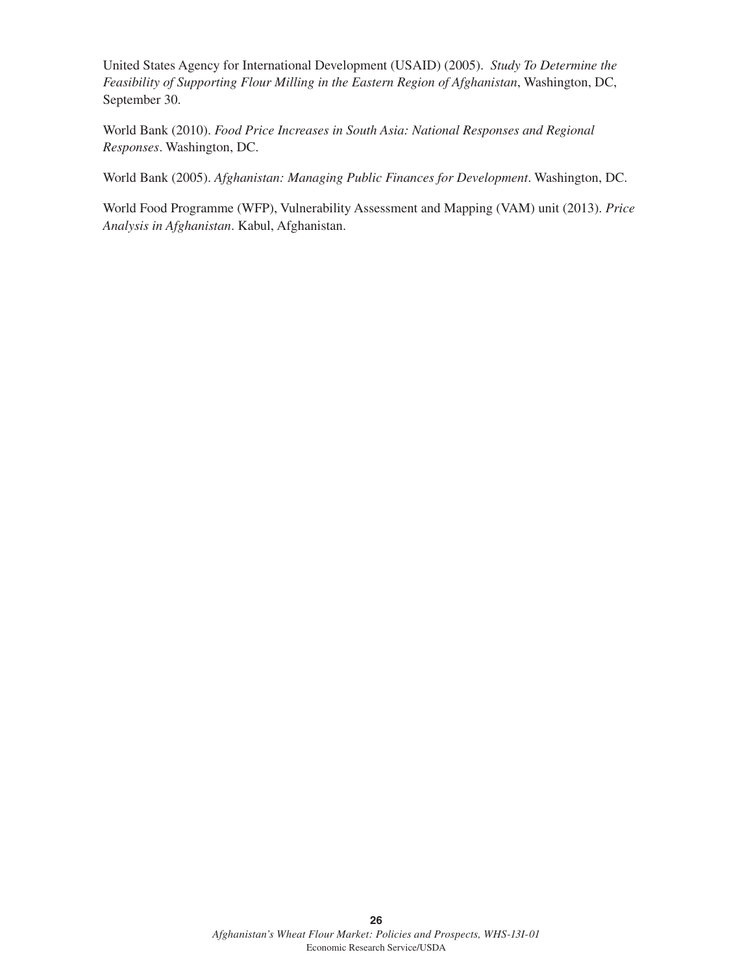United States Agency for International Development (USAID) (2005). *Study To Determine the Feasibility of Supporting Flour Milling in the Eastern Region of Afghanistan*, Washington, DC, September 30.

World Bank (2010). *Food Price Increases in South Asia: National Responses and Regional Responses*. Washington, DC.

World Bank (2005). *Afghanistan: Managing Public Finances for Development*. Washington, DC.

World Food Programme (WFP), Vulnerability Assessment and Mapping (VAM) unit (2013). *Price Analysis in Afghanistan*. Kabul, Afghanistan.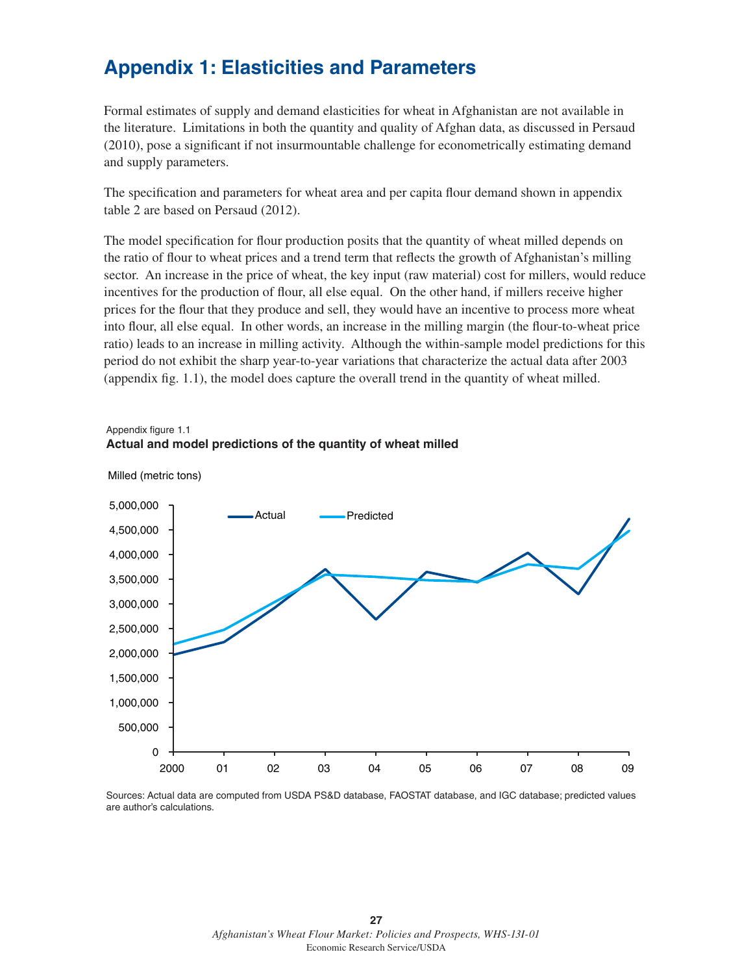# **Appendix 1: Elasticities and Parameters**

**Actual and model predictions of the quantity of wheat milled**

Formal estimates of supply and demand elasticities for wheat in Afghanistan are not available in the literature. Limitations in both the quantity and quality of Afghan data, as discussed in Persaud  $(2010)$ , pose a significant if not insurmountable challenge for econometrically estimating demand and supply parameters.

The specification and parameters for wheat area and per capita flour demand shown in appendix table 2 are based on Persaud (2012).

The model specification for flour production posits that the quantity of wheat milled depends on the ratio of flour to wheat prices and a trend term that reflects the growth of Afghanistan's milling sector. An increase in the price of wheat, the key input (raw material) cost for millers, would reduce incentives for the production of flour, all else equal. On the other hand, if millers receive higher prices for the flour that they produce and sell, they would have an incentive to process more wheat into flour, all else equal. In other words, an increase in the milling margin (the flour-to-wheat price ratio) leads to an increase in milling activity. Although the within-sample model predictions for this period do not exhibit the sharp year-to-year variations that characterize the actual data after 2003 (appendix fig.  $1.1$ ), the model does capture the overall trend in the quantity of wheat milled.

#### Appendix figure 1.1



Milled (metric tons)

Sources: Actual data are computed from USDA PS&D database, FAOSTAT database, and IGC database; predicted values are author's calculations.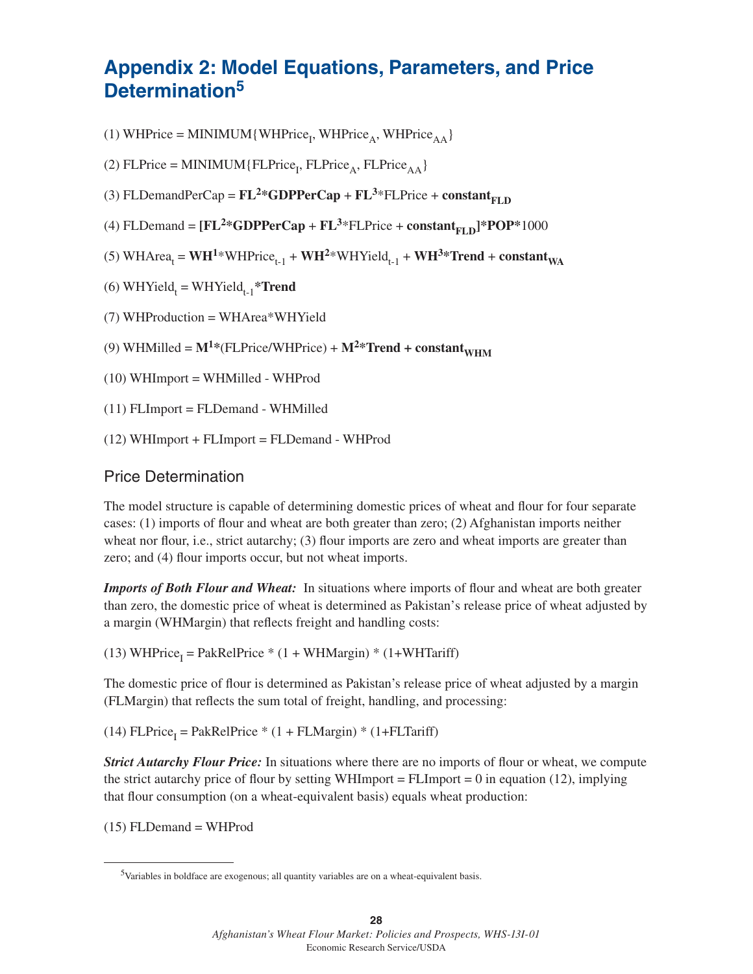# **Appendix 2: Model Equations, Parameters, and Price Determination5**

(1) WHPrice = MINIMUM { WHPrice<sub>1</sub>, WHPrice<sub>A</sub>, WHPrice<sub>AA</sub> }

(2) FLPrice = MINIMUM {  $FLPrice<sub>1</sub>$ ,  $FLPrice<sub>A</sub>$ ,  $FLPrice<sub>AA</sub>$  }

(3) FLDemandPerCap =  $FL^2*GDPPerCap + FL^3*FLPrice + constant_{ETD}$ 

(4) FLDemand =  $[FL^{2*G}DPPerCap + FL^{3*}FLPrice + constant_{ETD}]*POP*1000$ 

(5) WHArea<sub>t</sub> = **WH<sup>1\*</sup>WHPrice<sub>t-1</sub> + <b>WH<sup>2\*</sup>WHYield**<sub>t-1</sub> + **WH<sup>3\*</sup>Trend** + **constant**<sub>WA</sub>

(6) WHYield<sub>t</sub> = WHYield<sub>t-1</sub>\***Trend** 

(7) WHProduction = WHArea\*WHYield

(9) WHMilled =  $M^{1*}$ (FLPrice/WHPrice) +  $M^{2*}$ **Trend + constant**<sub>WHM</sub>

(10) WHImport = WHMilled - WHProd

(11) FLImport = FLDemand - WHMilled

(12) WHImport + FLImport = FLDemand - WHProd

## Price Determination

The model structure is capable of determining domestic prices of wheat and flour for four separate cases: (1) imports of flour and wheat are both greater than zero; (2) Afghanistan imports neither wheat nor flour, i.e., strict autarchy; (3) flour imports are zero and wheat imports are greater than zero; and (4) flour imports occur, but not wheat imports.

*Imports of Both Flour and Wheat:* In situations where imports of flour and wheat are both greater than zero, the domestic price of wheat is determined as Pakistan's release price of wheat adjusted by a margin (WHMargin) that reflects freight and handling costs:

(13) WHPrice<sub>I</sub> = PakRelPrice \* (1 + WHMargin) \* (1+WHTariff)

The domestic price of flour is determined as Pakistan's release price of wheat adjusted by a margin (FLMargin) that reflects the sum total of freight, handling, and processing:

(14)  $FLPrice<sub>I</sub> = PakRelPrice * (1 + FLMargin) * (1 + FLTariff)$ 

*Strict Autarchy Flour Price:* In situations where there are no imports of flour or wheat, we compute the strict autarchy price of flour by setting WHImport = FLImport = 0 in equation (12), implying that flour consumption (on a wheat-equivalent basis) equals wheat production:

(15) FLDemand = WHProd

<sup>5</sup>Variables in boldface are exogenous; all quantity variables are on a wheat-equivalent basis.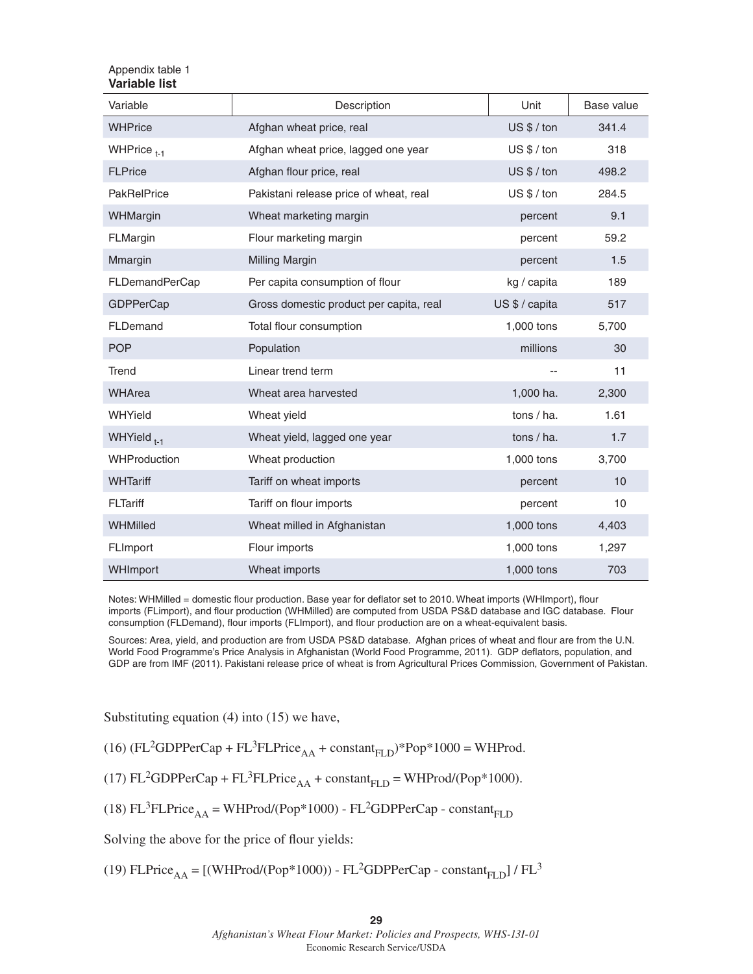#### Appendix table 1 **Variable list**

| Variable               | Description                             | Unit           | Base value |
|------------------------|-----------------------------------------|----------------|------------|
| <b>WHPrice</b>         | Afghan wheat price, real                | $US $/$ ton    | 341.4      |
| WHPrice $_{t-1}$       | Afghan wheat price, lagged one year     | $US $/$ ton    | 318        |
| <b>FLPrice</b>         | Afghan flour price, real                | $US $/$ ton    | 498.2      |
| <b>PakRelPrice</b>     | Pakistani release price of wheat, real  | $US $/$ ton    | 284.5      |
| WHMargin               | Wheat marketing margin                  | percent        | 9.1        |
| FLMargin               | Flour marketing margin                  | percent        | 59.2       |
| Mmargin                | <b>Milling Margin</b>                   | percent        | 1.5        |
| FLDemandPerCap         | Per capita consumption of flour         | kg / capita    | 189        |
| <b>GDPPerCap</b>       | Gross domestic product per capita, real | US \$ / capita | 517        |
| FLDemand               | Total flour consumption                 | 1,000 tons     | 5,700      |
| <b>POP</b>             | Population                              | millions       | 30         |
| Trend                  | Linear trend term                       |                | 11         |
| <b>WHArea</b>          | Wheat area harvested                    | 1,000 ha.      | 2,300      |
| WHYield                | Wheat yield                             | tons / ha.     | 1.61       |
| WHYield <sub>t-1</sub> | Wheat yield, lagged one year            | tons $/$ ha.   | 1.7        |
| <b>WHProduction</b>    | Wheat production                        | 1,000 tons     | 3,700      |
| <b>WHTariff</b>        | Tariff on wheat imports                 | percent        | 10         |
| <b>FLTariff</b>        | Tariff on flour imports                 | percent        | 10         |
| WHMilled               | Wheat milled in Afghanistan             | 1,000 tons     | 4,403      |
| FLImport               | Flour imports                           | 1,000 tons     | 1,297      |
| WHImport               | Wheat imports                           | 1,000 tons     | 703        |

Notes: WHMilled = domestic flour production. Base year for deflator set to 2010. Wheat imports (WHImport), flour imports (FLimport), and flour production (WHMilled) are computed from USDA PS&D database and IGC database. Flour consumption (FLDemand), flour imports (FLImport), and flour production are on a wheat-equivalent basis.

Sources: Area, yield, and production are from USDA PS&D database. Afghan prices of wheat and flour are from the U.N. World Food Programme's Price Analysis in Afghanistan (World Food Programme, 2011). GDP deflators, population, and GDP are from IMF (2011). Pakistani release price of wheat is from Agricultural Prices Commission, Government of Pakistan.

Substituting equation (4) into (15) we have,

(16)  $(FL^2GDPPerCap + FL^3FLPrice<sub>AA</sub> + constant<sub>FLD</sub>) * Pop *1000 = WHProd.$ 

(17)  $FL^2GDPPerCap + FL^3FLPrice<sub>AA</sub> + constant<sub>FLD</sub> = WHProd/(Pop*1000).$ 

(18) FL<sup>3</sup>FLPrice<sub>AA</sub> = WHProd/(Pop\*1000) - FL<sup>2</sup>GDPPerCap - constant<sub>FLD</sub>

Solving the above for the price of flour yields:

(19) FLPrice<sub>AA</sub> = [(WHProd/(Pop\*1000)) - FL<sup>2</sup>GDPPerCap - constant<sub>FLD</sub>] / FL<sup>3</sup>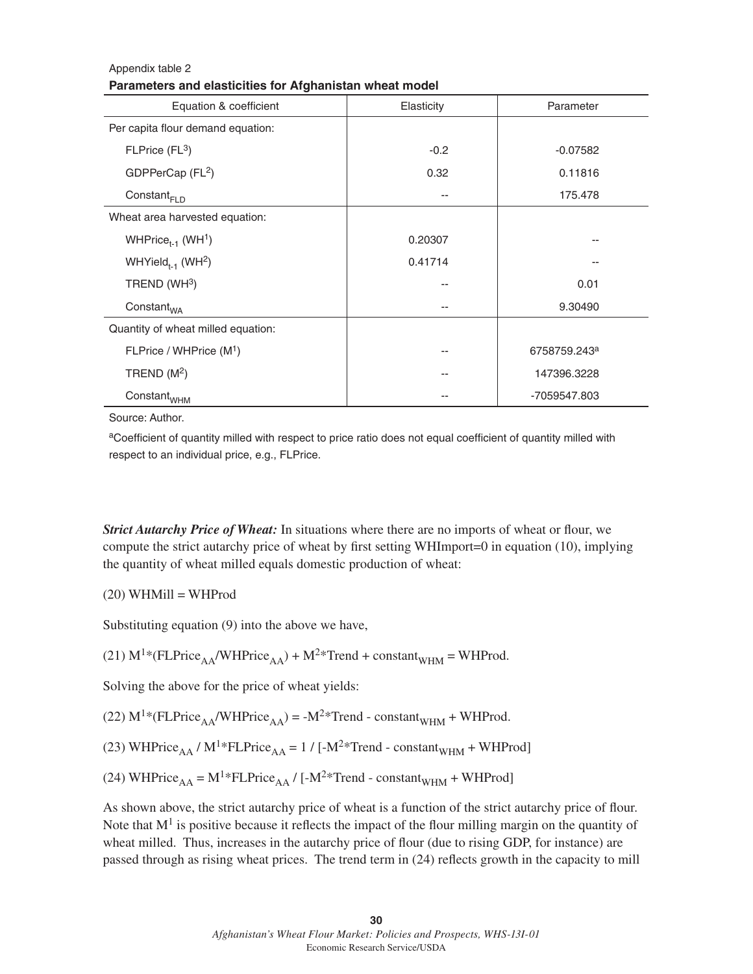#### Appendix table 2 **Parameters and elasticities for Afghanistan wheat model**

| Equation & coefficient                    | Elasticity | Parameter                |
|-------------------------------------------|------------|--------------------------|
| Per capita flour demand equation:         |            |                          |
| FLPrice (FL <sup>3</sup> )                | $-0.2$     | $-0.07582$               |
| GDPPerCap (FL <sup>2</sup> )              | 0.32       | 0.11816                  |
| Constant <sub>FLD</sub>                   | $- -$      | 175.478                  |
| Wheat area harvested equation:            |            |                          |
| WHPrice <sub>t-1</sub> (WH <sup>1</sup> ) | 0.20307    |                          |
| WHYield <sub>t-1</sub> (WH <sup>2</sup> ) | 0.41714    |                          |
| TREND (WH $3$ )                           |            | 0.01                     |
| Constant <sub>WA</sub>                    |            | 9.30490                  |
| Quantity of wheat milled equation:        |            |                          |
| FLPrice / WHPrice (M <sup>1</sup> )       |            | 6758759.243 <sup>a</sup> |
| TREND $(M2)$                              |            | 147396.3228              |
| $Constant_{WHM}$                          |            | -7059547.803             |

Source: Author.

aCoefficient of quantity milled with respect to price ratio does not equal coefficient of quantity milled with respect to an individual price, e.g., FLPrice.

*Strict Autarchy Price of Wheat:* In situations where there are no imports of wheat or flour, we compute the strict autarchy price of wheat by first setting WHImport=0 in equation (10), implying the quantity of wheat milled equals domestic production of wheat:

 $(20)$  WHMill = WHProd

Substituting equation (9) into the above we have,

(21)  $M^{1*}(FLPrice_{AA}/WHPrice_{AA}) + M^{2*}Trend + constant_{WHM} = WHProd.$ 

Solving the above for the price of wheat yields:

(22)  $M^{1*}(FLPrice_{AA}/WHPrice_{AA}) = -M^{2*}Trend - constant_{WHM} + WHProd.$ 

(23) WHPrice<sub>AA</sub> / M<sup>1</sup>\*FLPrice<sub>AA</sub> = 1 / [-M<sup>2</sup>\*Trend - constant<sub>WHM</sub> + WHProd]

(24) WHPrice<sub>AA</sub> = M<sup>1</sup>\*FLPrice<sub>AA</sub> / [-M<sup>2</sup>\*Trend - constant<sub>WHM</sub> + WHProd]

As shown above, the strict autarchy price of wheat is a function of the strict autarchy price of flour. Note that  $M<sup>1</sup>$  is positive because it reflects the impact of the flour milling margin on the quantity of wheat milled. Thus, increases in the autarchy price of flour (due to rising GDP, for instance) are passed through as rising wheat prices. The trend term in (24) reflects growth in the capacity to mill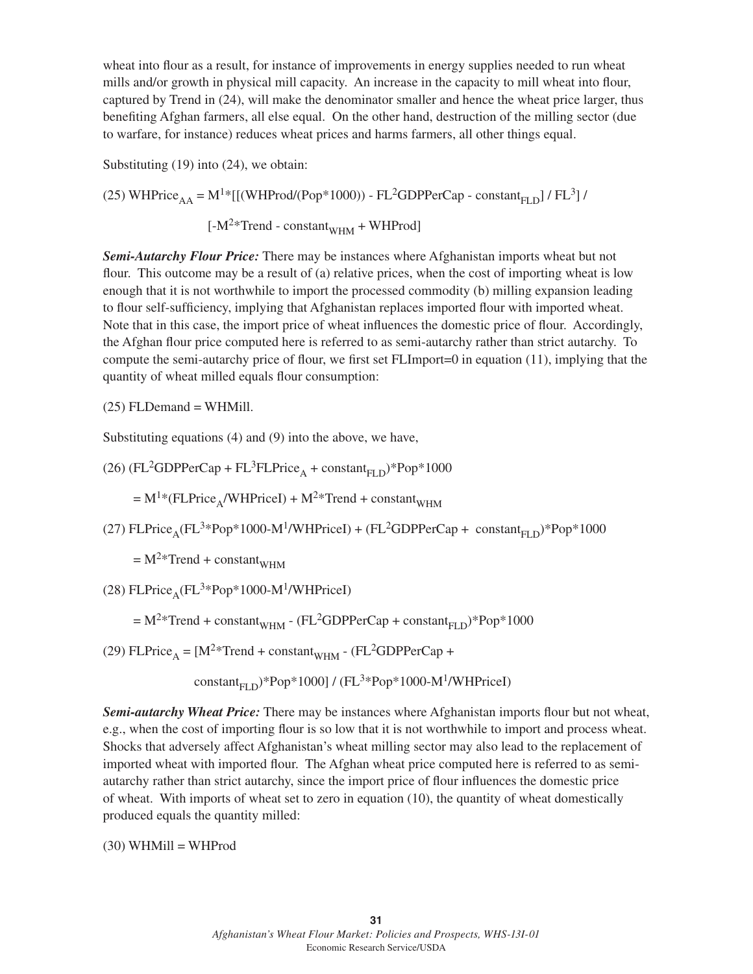wheat into flour as a result, for instance of improvements in energy supplies needed to run wheat mills and/or growth in physical mill capacity. An increase in the capacity to mill wheat into flour, captured by Trend in (24), will make the denominator smaller and hence the wheat price larger, thus benefiting Afghan farmers, all else equal. On the other hand, destruction of the milling sector (due to warfare, for instance) reduces wheat prices and harms farmers, all other things equal.

Substituting (19) into (24), we obtain:

(25) WHPrice<sub>AA</sub> = M<sup>1</sup>\*[[(WHProd/(Pop<sup>\*</sup>1000)) - FL<sup>2</sup>GDPPerCap - constant<sub>FLD</sub>] / FL<sup>3</sup>] /  $[-M^{2*}Trend - constant$ <sub>WHM</sub> + WHProd]

*Semi-Autarchy Flour Price:* There may be instances where Afghanistan imports wheat but not flour. This outcome may be a result of (a) relative prices, when the cost of importing wheat is low enough that it is not worthwhile to import the processed commodity (b) milling expansion leading to flour self-sufficiency, implying that Afghanistan replaces imported flour with imported wheat. Note that in this case, the import price of wheat influences the domestic price of flour. Accordingly, the Afghan flour price computed here is referred to as semi-autarchy rather than strict autarchy. To compute the semi-autarchy price of flour, we first set FLImport=0 in equation (11), implying that the quantity of wheat milled equals flour consumption:

 $(25)$  FLDemand = WHMill.

Substituting equations (4) and (9) into the above, we have,

(26) (FL<sup>2</sup>GDPPerCap + FL<sup>3</sup>FLPrice<sub>A</sub> + constant<sub>FLD</sub>)\*Pop\*1000

 $= M^{1*}(FLPrice_A/WHPricel) + M^{2*}Trend + constant<sub>WHM</sub>$ 

(27) FLPrice<sub>A</sub>(FL<sup>3\*</sup>Pop<sup>\*</sup>1000-M<sup>1</sup>/WHPriceI) + (FL<sup>2</sup>GDPPerCap + constant<sub>FLD</sub>)<sup>\*</sup>Pop<sup>\*</sup>1000

 $= M^{2*}$ Trend + constant<sub>WHM</sub>

(28) FLPrice<sub>A</sub>(FL<sup>3\*</sup>Pop<sup>\*</sup>1000-M<sup>1</sup>/WHPriceI)

 $= M^{2*}$ Trend + constant<sub>WHM</sub> - (FL<sup>2</sup>GDPPerCap + constant<sub>FLD</sub>)\*Pop\*1000

(29) FLPrice<sub>A</sub> =  $[M^{2*}Trend + constant_{WHM} - (FL^{2}GDPPerCap +$ 

constant<sub>FLD</sub>)\*Pop\*1000] / (FL<sup>3\*</sup>Pop\*1000-M<sup>1</sup>/WHPriceI)

**Semi-autarchy Wheat Price:** There may be instances where Afghanistan imports flour but not wheat, e.g., when the cost of importing flour is so low that it is not worthwhile to import and process wheat. Shocks that adversely affect Afghanistan's wheat milling sector may also lead to the replacement of imported wheat with imported flour. The Afghan wheat price computed here is referred to as semiautarchy rather than strict autarchy, since the import price of flour influences the domestic price of wheat. With imports of wheat set to zero in equation (10), the quantity of wheat domestically produced equals the quantity milled:

 $(30)$  WHMill = WHProd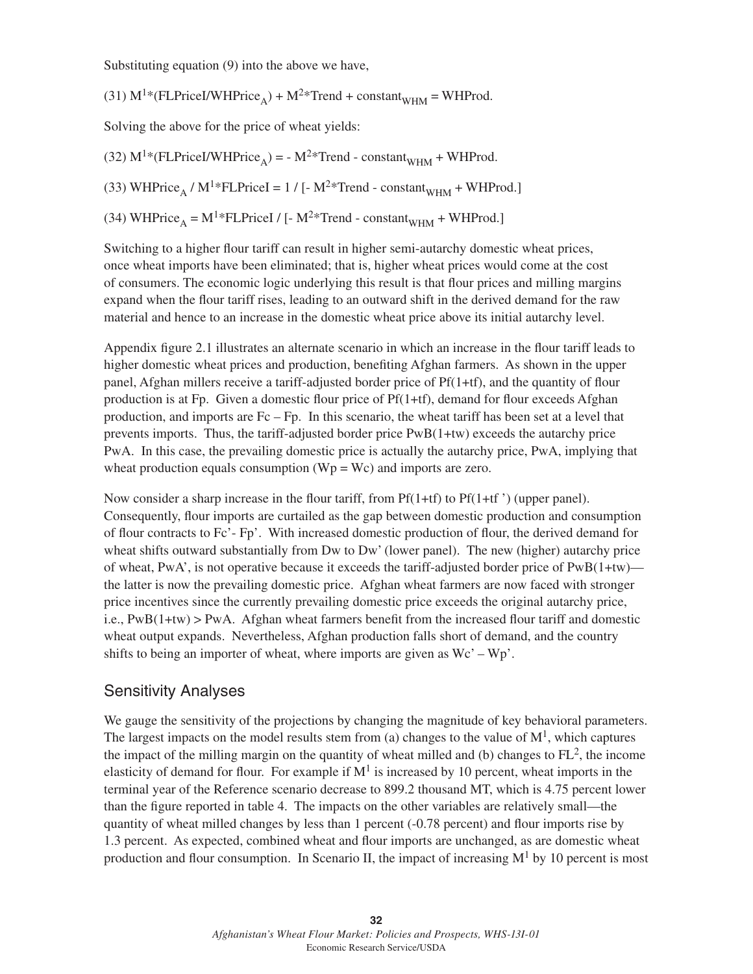Substituting equation (9) into the above we have,

(31)  $M^{1*}$ (FLPriceI/WHPrice<sub>A</sub>) +  $M^{2*}$ Trend + constant<sub>WHM</sub> = WHProd.

Solving the above for the price of wheat yields:

(32)  $M^{1*}$ (FLPriceI/WHPrice<sub>A</sub>) = - M<sup>2\*</sup>Trend - constant<sub>WHM</sub> + WHProd.

(33) WHPrice<sub>A</sub> / M<sup>1</sup>\*FLPriceI = 1 / [- M<sup>2</sup>\*Trend - constant<sub>WHM</sub> + WHProd.]

(34) WHPrice<sub>A</sub> = M<sup>1</sup>\*FLPriceI / [- M<sup>2</sup>\*Trend - constant<sub>WHM</sub> + WHProd.]

Switching to a higher flour tariff can result in higher semi-autarchy domestic wheat prices, once wheat imports have been eliminated; that is, higher wheat prices would come at the cost of consumers. The economic logic underlying this result is that flour prices and milling margins expand when the flour tariff rises, leading to an outward shift in the derived demand for the raw material and hence to an increase in the domestic wheat price above its initial autarchy level.

Appendix figure 2.1 illustrates an alternate scenario in which an increase in the flour tariff leads to higher domestic wheat prices and production, benefiting Afghan farmers. As shown in the upper panel, Afghan millers receive a tariff-adjusted border price of  $Pf(1+tf)$ , and the quantity of flour production is at Fp. Given a domestic flour price of  $Pf(1+tf)$ , demand for flour exceeds Afghan production, and imports are Fc – Fp. In this scenario, the wheat tariff has been set at a level that prevents imports. Thus, the tariff-adjusted border price PwB(1+tw) exceeds the autarchy price PwA. In this case, the prevailing domestic price is actually the autarchy price, PwA, implying that wheat production equals consumption  $(Wp = Wc)$  and imports are zero.

Now consider a sharp increase in the flour tariff, from  $Pf(1+tf)$  to  $Pf(1+tf')$  (upper panel). Consequently, flour imports are curtailed as the gap between domestic production and consumption of flour contracts to Fc'- Fp'. With increased domestic production of flour, the derived demand for wheat shifts outward substantially from Dw to Dw' (lower panel). The new (higher) autarchy price of wheat, PwA', is not operative because it exceeds the tariff-adjusted border price of PwB(1+tw) the latter is now the prevailing domestic price. Afghan wheat farmers are now faced with stronger price incentives since the currently prevailing domestic price exceeds the original autarchy price, i.e.,  $PwB(1+tw) > PwA$ . Afghan wheat farmers benefit from the increased flour tariff and domestic wheat output expands. Nevertheless, Afghan production falls short of demand, and the country shifts to being an importer of wheat, where imports are given as  $\text{Wc'} - \text{Wp'}$ .

## Sensitivity Analyses

We gauge the sensitivity of the projections by changing the magnitude of key behavioral parameters. The largest impacts on the model results stem from (a) changes to the value of  $M<sup>1</sup>$ , which captures the impact of the milling margin on the quantity of wheat milled and (b) changes to  $FL^2$ , the income elasticity of demand for flour. For example if  $M<sup>1</sup>$  is increased by 10 percent, wheat imports in the terminal year of the Reference scenario decrease to 899.2 thousand MT, which is 4.75 percent lower than the figure reported in table 4. The impacts on the other variables are relatively small—the quantity of wheat milled changes by less than  $1$  percent  $(-0.78$  percent) and flour imports rise by 1.3 percent. As expected, combined wheat and flour imports are unchanged, as are domestic wheat production and flour consumption. In Scenario II, the impact of increasing  $M<sup>1</sup>$  by 10 percent is most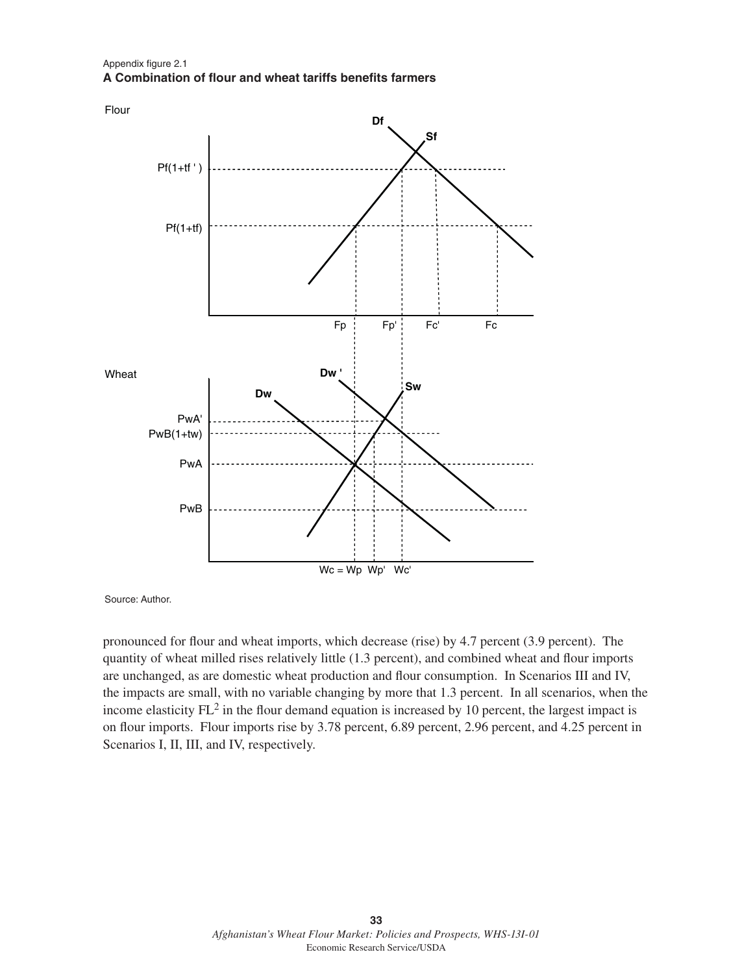#### Appendix figure 2.1 **A Combination of flour and wheat tariffs benefits farmers**



Source: Author.

pronounced for flour and wheat imports, which decrease (rise) by 4.7 percent (3.9 percent). The quantity of wheat milled rises relatively little (1.3 percent), and combined wheat and flour imports are unchanged, as are domestic wheat production and flour consumption. In Scenarios III and IV, the impacts are small, with no variable changing by more that 1.3 percent. In all scenarios, when the income elasticity  $FL^2$  in the flour demand equation is increased by 10 percent, the largest impact is on flour imports. Flour imports rise by 3.78 percent, 6.89 percent, 2.96 percent, and 4.25 percent in Scenarios I, II, III, and IV, respectively.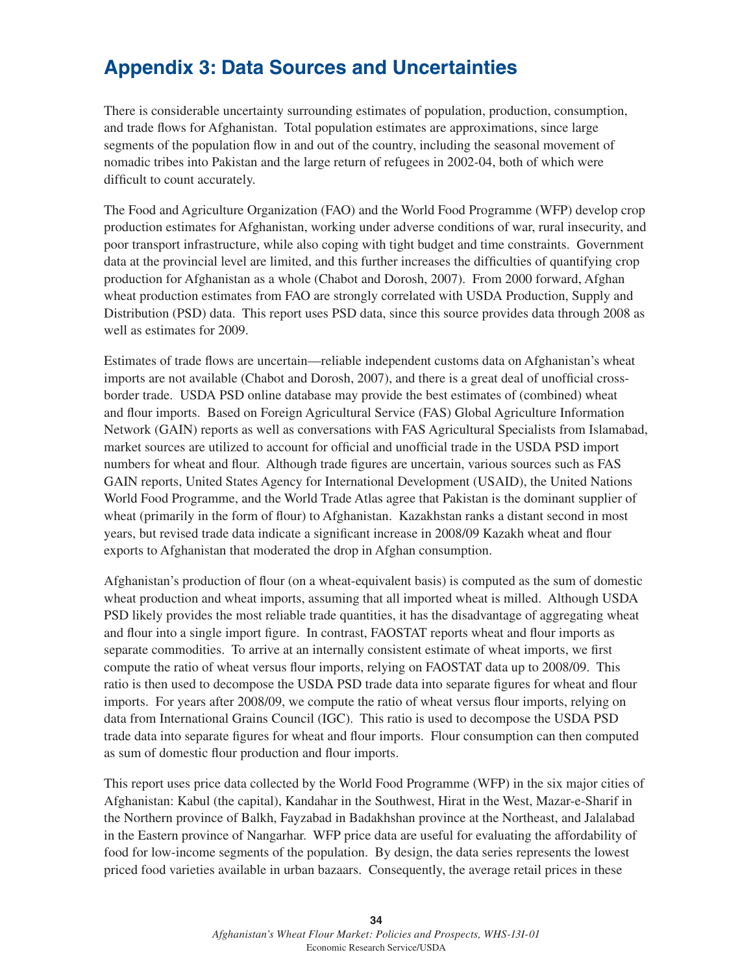# **Appendix 3: Data Sources and Uncertainties**

There is considerable uncertainty surrounding estimates of population, production, consumption, and trade flows for Afghanistan. Total population estimates are approximations, since large segments of the population flow in and out of the country, including the seasonal movement of nomadic tribes into Pakistan and the large return of refugees in 2002-04, both of which were difficult to count accurately.

The Food and Agriculture Organization (FAO) and the World Food Programme (WFP) develop crop production estimates for Afghanistan, working under adverse conditions of war, rural insecurity, and poor transport infrastructure, while also coping with tight budget and time constraints. Government data at the provincial level are limited, and this further increases the difficulties of quantifying crop production for Afghanistan as a whole (Chabot and Dorosh, 2007). From 2000 forward, Afghan wheat production estimates from FAO are strongly correlated with USDA Production, Supply and Distribution (PSD) data. This report uses PSD data, since this source provides data through 2008 as well as estimates for 2009.

Estimates of trade flows are uncertain—reliable independent customs data on Afghanistan's wheat imports are not available (Chabot and Dorosh, 2007), and there is a great deal of unofficial crossborder trade. USDA PSD online database may provide the best estimates of (combined) wheat and flour imports. Based on Foreign Agricultural Service (FAS) Global Agriculture Information Network (GAIN) reports as well as conversations with FAS Agricultural Specialists from Islamabad, market sources are utilized to account for official and unofficial trade in the USDA PSD import numbers for wheat and flour. Although trade figures are uncertain, various sources such as FAS GAIN reports, United States Agency for International Development (USAID), the United Nations World Food Programme, and the World Trade Atlas agree that Pakistan is the dominant supplier of wheat (primarily in the form of flour) to Afghanistan. Kazakhstan ranks a distant second in most years, but revised trade data indicate a significant increase in 2008/09 Kazakh wheat and flour exports to Afghanistan that moderated the drop in Afghan consumption.

Afghanistan's production of flour (on a wheat-equivalent basis) is computed as the sum of domestic wheat production and wheat imports, assuming that all imported wheat is milled. Although USDA PSD likely provides the most reliable trade quantities, it has the disadvantage of aggregating wheat and flour into a single import figure. In contrast, FAOSTAT reports wheat and flour imports as separate commodities. To arrive at an internally consistent estimate of wheat imports, we first compute the ratio of wheat versus flour imports, relying on FAOSTAT data up to 2008/09. This ratio is then used to decompose the USDA PSD trade data into separate figures for wheat and flour imports. For years after 2008/09, we compute the ratio of wheat versus flour imports, relying on data from International Grains Council (IGC). This ratio is used to decompose the USDA PSD trade data into separate figures for wheat and flour imports. Flour consumption can then computed as sum of domestic flour production and flour imports.

This report uses price data collected by the World Food Programme (WFP) in the six major cities of Afghanistan: Kabul (the capital), Kandahar in the Southwest, Hirat in the West, Mazar-e-Sharif in the Northern province of Balkh, Fayzabad in Badakhshan province at the Northeast, and Jalalabad in the Eastern province of Nangarhar. WFP price data are useful for evaluating the affordability of food for low-income segments of the population. By design, the data series represents the lowest priced food varieties available in urban bazaars. Consequently, the average retail prices in these